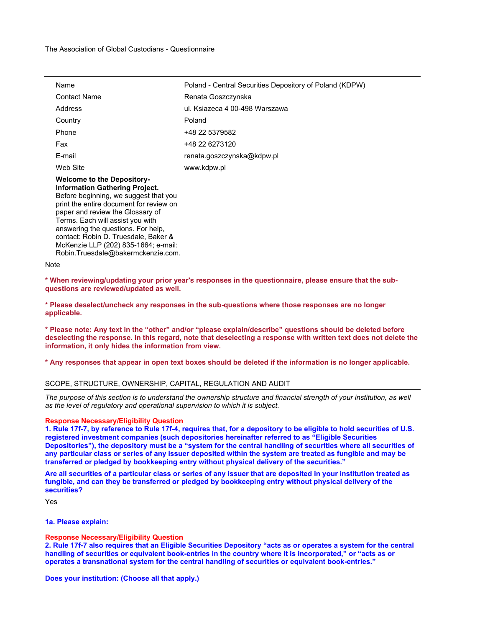| Name                                                                                                                                                                                               | Poland - Central Securities Depository of Poland (KDPW) |
|----------------------------------------------------------------------------------------------------------------------------------------------------------------------------------------------------|---------------------------------------------------------|
| <b>Contact Name</b>                                                                                                                                                                                | Renata Goszczynska                                      |
| Address                                                                                                                                                                                            | ul. Ksiazeca 4 00-498 Warszawa                          |
| Country                                                                                                                                                                                            | Poland                                                  |
| Phone                                                                                                                                                                                              | +48 22 5379582                                          |
| Fax                                                                                                                                                                                                | +48 22 6273120                                          |
| E-mail                                                                                                                                                                                             | renata.goszczynska@kdpw.pl                              |
| Web Site                                                                                                                                                                                           | www.kdpw.pl                                             |
| <b>Welcome to the Depository-</b><br><b>Information Gathering Project.</b><br>Before beginning, we suggest that you<br>print the entire document for review on<br>paper and review the Glossary of |                                                         |

Terms. Each will assist you with answering the questions. For help, contact: Robin D. Truesdale, Baker & McKenzie LLP (202) 835-1664; e-mail: Robin.Truesdale@bakermckenzie.com.

Note

**\* When reviewing/updating your prior year's responses in the questionnaire, please ensure that the subquestions are reviewed/updated as well.** 

**\* Please deselect/uncheck any responses in the sub-questions where those responses are no longer applicable.** 

**\* Please note: Any text in the "other" and/or "please explain/describe" questions should be deleted before deselecting the response. In this regard, note that deselecting a response with written text does not delete the information, it only hides the information from view.**

**\* Any responses that appear in open text boxes should be deleted if the information is no longer applicable.**

## SCOPE, STRUCTURE, OWNERSHIP, CAPITAL, REGULATION AND AUDIT

*The purpose of this section is to understand the ownership structure and financial strength of your institution, as well as the level of regulatory and operational supervision to which it is subject.*

### **Response Necessary/Eligibility Question**

**1. Rule 17f-7, by reference to Rule 17f-4, requires that, for a depository to be eligible to hold securities of U.S. registered investment companies (such depositories hereinafter referred to as "Eligible Securities Depositories"), the depository must be a "system for the central handling of securities where all securities of any particular class or series of any issuer deposited within the system are treated as fungible and may be transferred or pledged by bookkeeping entry without physical delivery of the securities."**

**Are all securities of a particular class or series of any issuer that are deposited in your institution treated as fungible, and can they be transferred or pledged by bookkeeping entry without physical delivery of the securities?**

Yes

**1a. Please explain:**

# **Response Necessary/Eligibility Question**

**2. Rule 17f-7 also requires that an Eligible Securities Depository "acts as or operates a system for the central handling of securities or equivalent book-entries in the country where it is incorporated," or "acts as or operates a transnational system for the central handling of securities or equivalent book-entries."**

**Does your institution: (Choose all that apply.)**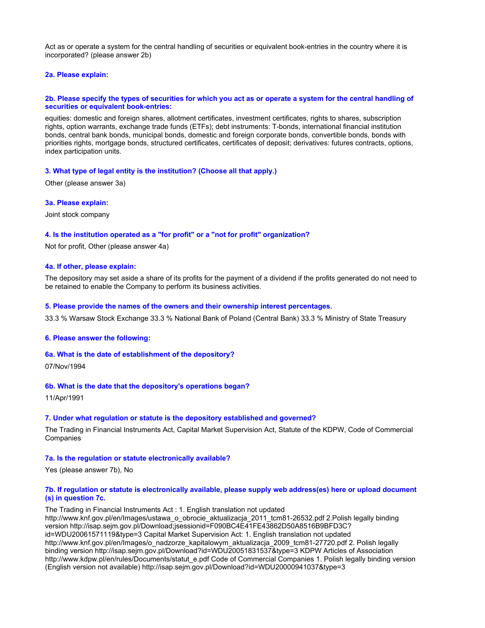Act as or operate a system for the central handling of securities or equivalent book-entries in the country where it is incorporated? (please answer 2b)

## **2a. Please explain:**

## **2b. Please specify the types of securities for which you act as or operate a system for the central handling of securities or equivalent book-entries:**

equities: domestic and foreign shares, allotment certificates, investment certificates, rights to shares, subscription rights, option warrants, exchange trade funds (ETFs); debt instruments: T-bonds, international financial institution bonds, central bank bonds, municipal bonds, domestic and foreign corporate bonds, convertible bonds, bonds with priorities rights, mortgage bonds, structured certificates, certificates of deposit; derivatives: futures contracts, options, index participation units.

#### **3. What type of legal entity is the institution? (Choose all that apply.)**

Other (please answer 3a)

**3a. Please explain:**

Joint stock company

## **4. Is the institution operated as a "for profit" or a "not for profit" organization?**

Not for profit, Other (please answer 4a)

## **4a. If other, please explain:**

The depository may set aside a share of its profits for the payment of a dividend if the profits generated do not need to be retained to enable the Company to perform its business activities.

### **5. Please provide the names of the owners and their ownership interest percentages.**

33.3 % Warsaw Stock Exchange 33.3 % National Bank of Poland (Central Bank) 33.3 % Ministry of State Treasury

#### **6. Please answer the following:**

### **6a. What is the date of establishment of the depository?**

07/Nov/1994

#### **6b. What is the date that the depository's operations began?**

11/Apr/1991

### **7. Under what regulation or statute is the depository established and governed?**

The Trading in Financial Instruments Act, Capital Market Supervision Act, Statute of the KDPW, Code of Commercial **Companies** 

#### **7a. Is the regulation or statute electronically available?**

Yes (please answer 7b), No

## **7b. If regulation or statute is electronically available, please supply web address(es) here or upload document (s) in question 7c.**

The Trading in Financial Instruments Act : 1. English translation not updated http://www.knf.gov.pl/en/Images/ustawa\_o\_obrocie\_aktualizacja\_2011\_tcm81-26532.pdf 2.Polish legally binding version http://isap.sejm.gov.pl/Download;jsessionid=F090BC4E41FE43862D50A8516B9BFD3C? id=WDU20061571119&type=3 Capital Market Supervision Act: 1. English translation not updated http://www.knf.gov.pl/en/Images/o\_nadzorze\_kapitalowym\_aktualizacja\_2009\_tcm81-27720.pdf 2. Polish legally binding version http://isap.sejm.gov.pl/Download?id=WDU20051831537&type=3 KDPW Articles of Association http://www.kdpw.pl/en/rules/Documents/statut e.pdf Code of Commercial Companies 1. Polish legally binding version (English version not available) http://isap.sejm.gov.pl/Download?id=WDU20000941037&type=3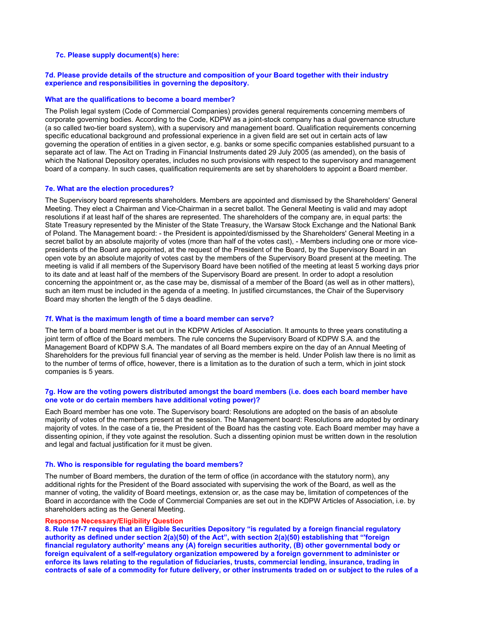## **7c. Please supply document(s) here:**

## **7d. Please provide details of the structure and composition of your Board together with their industry experience and responsibilities in governing the depository.**

## **What are the qualifications to become a board member?**

The Polish legal system (Code of Commercial Companies) provides general requirements concerning members of corporate governing bodies. According to the Code, KDPW as a joint-stock company has a dual governance structure (a so called two-tier board system), with a supervisory and management board. Qualification requirements concerning specific educational background and professional experience in a given field are set out in certain acts of law governing the operation of entities in a given sector, e.g. banks or some specific companies established pursuant to a separate act of law. The Act on Trading in Financial Instruments dated 29 July 2005 (as amended), on the basis of which the National Depository operates, includes no such provisions with respect to the supervisory and management board of a company. In such cases, qualification requirements are set by shareholders to appoint a Board member.

#### **7e. What are the election procedures?**

The Supervisory board represents shareholders. Members are appointed and dismissed by the Shareholders' General Meeting. They elect a Chairman and Vice-Chairman in a secret ballot. The General Meeting is valid and may adopt resolutions if at least half of the shares are represented. The shareholders of the company are, in equal parts: the State Treasury represented by the Minister of the State Treasury, the Warsaw Stock Exchange and the National Bank of Poland. The Management board: - the President is appointed/dismissed by the Shareholders' General Meeting in a secret ballot by an absolute majority of votes (more than half of the votes cast), - Members including one or more vicepresidents of the Board are appointed, at the request of the President of the Board, by the Supervisory Board in an open vote by an absolute majority of votes cast by the members of the Supervisory Board present at the meeting. The meeting is valid if all members of the Supervisory Board have been notified of the meeting at least 5 working days prior to its date and at least half of the members of the Supervisory Board are present. In order to adopt a resolution concerning the appointment or, as the case may be, dismissal of a member of the Board (as well as in other matters), such an item must be included in the agenda of a meeting. In justified circumstances, the Chair of the Supervisory Board may shorten the length of the 5 days deadline.

#### **7f. What is the maximum length of time a board member can serve?**

The term of a board member is set out in the KDPW Articles of Association. It amounts to three years constituting a joint term of office of the Board members. The rule concerns the Supervisory Board of KDPW S.A. and the Management Board of KDPW S.A. The mandates of all Board members expire on the day of an Annual Meeting of Shareholders for the previous full financial year of serving as the member is held. Under Polish law there is no limit as to the number of terms of office, however, there is a limitation as to the duration of such a term, which in joint stock companies is 5 years.

## **7g. How are the voting powers distributed amongst the board members (i.e. does each board member have one vote or do certain members have additional voting power)?**

Each Board member has one vote. The Supervisory board: Resolutions are adopted on the basis of an absolute majority of votes of the members present at the session. The Management board: Resolutions are adopted by ordinary majority of votes. In the case of a tie, the President of the Board has the casting vote. Each Board member may have a dissenting opinion, if they vote against the resolution. Such a dissenting opinion must be written down in the resolution and legal and factual justification for it must be given.

#### **7h. Who is responsible for regulating the board members?**

The number of Board members, the duration of the term of office (in accordance with the statutory norm), any additional rights for the President of the Board associated with supervising the work of the Board, as well as the manner of voting, the validity of Board meetings, extension or, as the case may be, limitation of competences of the Board in accordance with the Code of Commercial Companies are set out in the KDPW Articles of Association, i.e. by shareholders acting as the General Meeting.

#### **Response Necessary/Eligibility Question**

**8. Rule 17f-7 requires that an Eligible Securities Depository "is regulated by a foreign financial regulatory authority as defined under section 2(a)(50) of the Act", with section 2(a)(50) establishing that "'foreign financial regulatory authority' means any (A) foreign securities authority, (B) other governmental body or foreign equivalent of a self-regulatory organization empowered by a foreign government to administer or enforce its laws relating to the regulation of fiduciaries, trusts, commercial lending, insurance, trading in contracts of sale of a commodity for future delivery, or other instruments traded on or subject to the rules of a**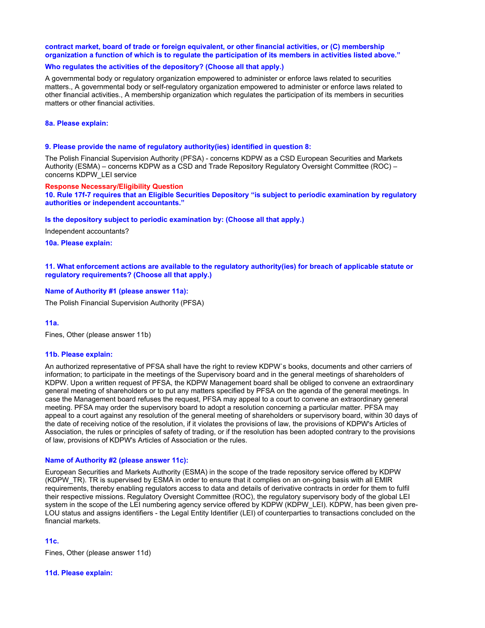## **contract market, board of trade or foreign equivalent, or other financial activities, or (C) membership organization a function of which is to regulate the participation of its members in activities listed above."**

## **Who regulates the activities of the depository? (Choose all that apply.)**

A governmental body or regulatory organization empowered to administer or enforce laws related to securities matters., A governmental body or self-regulatory organization empowered to administer or enforce laws related to other financial activities., A membership organization which regulates the participation of its members in securities matters or other financial activities.

#### **8a. Please explain:**

### **9. Please provide the name of regulatory authority(ies) identified in question 8:**

The Polish Financial Supervision Authority (PFSA) - concerns KDPW as a CSD European Securities and Markets Authority (ESMA) – concerns KDPW as a CSD and Trade Repository Regulatory Oversight Committee (ROC) – concerns KDPW\_LEI service

#### **Response Necessary/Eligibility Question**

**10. Rule 17f-7 requires that an Eligible Securities Depository "is subject to periodic examination by regulatory authorities or independent accountants."** 

#### **Is the depository subject to periodic examination by: (Choose all that apply.)**

Independent accountants?

**10a. Please explain:**

## **11. What enforcement actions are available to the regulatory authority(ies) for breach of applicable statute or regulatory requirements? (Choose all that apply.)**

## **Name of Authority #1 (please answer 11a):**

The Polish Financial Supervision Authority (PFSA)

### **11a.**

Fines, Other (please answer 11b)

### **11b. Please explain:**

An authorized representative of PFSA shall have the right to review KDPW`s books, documents and other carriers of information; to participate in the meetings of the Supervisory board and in the general meetings of shareholders of KDPW. Upon a written request of PFSA, the KDPW Management board shall be obliged to convene an extraordinary general meeting of shareholders or to put any matters specified by PFSA on the agenda of the general meetings. In case the Management board refuses the request, PFSA may appeal to a court to convene an extraordinary general meeting. PFSA may order the supervisory board to adopt a resolution concerning a particular matter. PFSA may appeal to a court against any resolution of the general meeting of shareholders or supervisory board, within 30 days of the date of receiving notice of the resolution, if it violates the provisions of law, the provisions of KDPW's Articles of Association, the rules or principles of safety of trading, or if the resolution has been adopted contrary to the provisions of law, provisions of KDPW's Articles of Association or the rules.

#### **Name of Authority #2 (please answer 11c):**

European Securities and Markets Authority (ESMA) in the scope of the trade repository service offered by KDPW (KDPW\_TR). TR is supervised by ESMA in order to ensure that it complies on an on-going basis with all EMIR requirements, thereby enabling regulators access to data and details of derivative contracts in order for them to fulfil their respective missions. Regulatory Oversight Committee (ROC), the regulatory supervisory body of the global LEI system in the scope of the LEI numbering agency service offered by KDPW (KDPW LEI). KDPW, has been given pre-LOU status and assigns identifiers - the Legal Entity Identifier (LEI) of counterparties to transactions concluded on the financial markets.

## **11c.**

Fines, Other (please answer 11d)

#### **11d. Please explain:**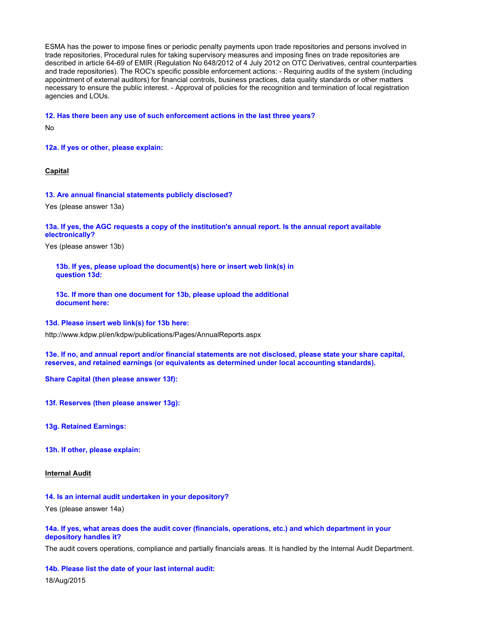ESMA has the power to impose fines or periodic penalty payments upon trade repositories and persons involved in trade repositories, Procedural rules for taking supervisory measures and imposing fines on trade repositories are described in article 64-69 of EMIR (Regulation No 648/2012 of 4 July 2012 on OTC Derivatives, central counterparties and trade repositories). The ROC's specific possible enforcement actions: - Requiring audits of the system (including appointment of external auditors) for financial controls, business practices, data quality standards or other matters necessary to ensure the public interest. - Approval of policies for the recognition and termination of local registration agencies and LOUs.

**12. Has there been any use of such enforcement actions in the last three years?**

No

**12a. If yes or other, please explain:**

**Capital**

#### **13. Are annual financial statements publicly disclosed?**

Yes (please answer 13a)

## **13a. If yes, the AGC requests a copy of the institution's annual report. Is the annual report available electronically?**

Yes (please answer 13b)

**13b. If yes, please upload the document(s) here or insert web link(s) in question 13d:**

**13c. If more than one document for 13b, please upload the additional document here:**

**13d. Please insert web link(s) for 13b here:**

http://www.kdpw.pl/en/kdpw/publications/Pages/AnnualReports.aspx

**13e. If no, and annual report and/or financial statements are not disclosed, please state your share capital, reserves, and retained earnings (or equivalents as determined under local accounting standards).**

**Share Capital (then please answer 13f):**

**13f. Reserves (then please answer 13g):**

**13g. Retained Earnings:**

**13h. If other, please explain:**

**Internal Audit**

## **14. Is an internal audit undertaken in your depository?**

Yes (please answer 14a)

## **14a. If yes, what areas does the audit cover (financials, operations, etc.) and which department in your depository handles it?**

The audit covers operations, compliance and partially financials areas. It is handled by the Internal Audit Department.

**14b. Please list the date of your last internal audit:** 18/Aug/2015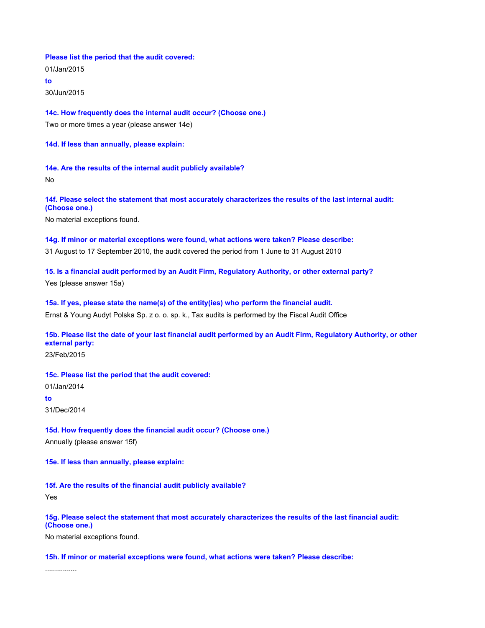### **Please list the period that the audit covered:**

01/Jan/2015

**to**

30/Jun/2015

**14c. How frequently does the internal audit occur? (Choose one.)**

Two or more times a year (please answer 14e)

**14d. If less than annually, please explain:**

**14e. Are the results of the internal audit publicly available?**

No

**14f. Please select the statement that most accurately characterizes the results of the last internal audit: (Choose one.)**

No material exceptions found.

## **14g. If minor or material exceptions were found, what actions were taken? Please describe:**

31 August to 17 September 2010, the audit covered the period from 1 June to 31 August 2010

**15. Is a financial audit performed by an Audit Firm, Regulatory Authority, or other external party?**

Yes (please answer 15a)

## **15a. If yes, please state the name(s) of the entity(ies) who perform the financial audit.**

Ernst & Young Audyt Polska Sp. z o. o. sp. k., Tax audits is performed by the Fiscal Audit Office

# **15b. Please list the date of your last financial audit performed by an Audit Firm, Regulatory Authority, or other external party:**

23/Feb/2015

## **15c. Please list the period that the audit covered:**

01/Jan/2014

**to**

31/Dec/2014

## **15d. How frequently does the financial audit occur? (Choose one.)**

Annually (please answer 15f)

**15e. If less than annually, please explain:**

## **15f. Are the results of the financial audit publicly available?**

Yes

## **15g. Please select the statement that most accurately characterizes the results of the last financial audit: (Choose one.)**

No material exceptions found.

## **15h. If minor or material exceptions were found, what actions were taken? Please describe:**

................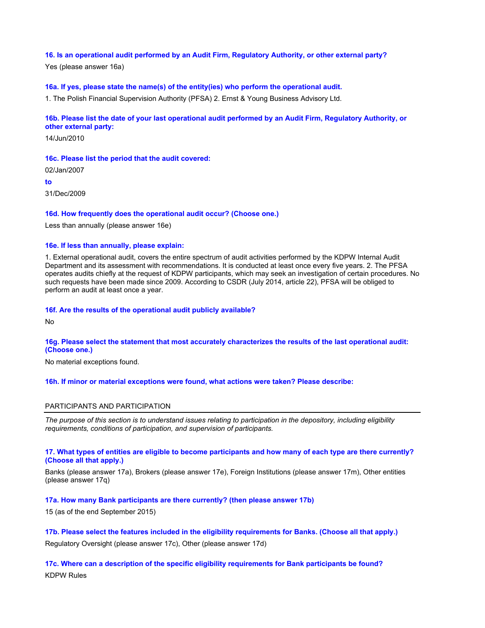## **16. Is an operational audit performed by an Audit Firm, Regulatory Authority, or other external party?**

Yes (please answer 16a)

# **16a. If yes, please state the name(s) of the entity(ies) who perform the operational audit.**

1. The Polish Financial Supervision Authority (PFSA) 2. Ernst & Young Business Advisory Ltd.

# **16b. Please list the date of your last operational audit performed by an Audit Firm, Regulatory Authority, or**

**other external party:** 14/Jun/2010

**16c. Please list the period that the audit covered:** 02/Jan/2007

**to**

31/Dec/2009

## **16d. How frequently does the operational audit occur? (Choose one.)**

Less than annually (please answer 16e)

## **16e. If less than annually, please explain:**

1. External operational audit, covers the entire spectrum of audit activities performed by the KDPW Internal Audit Department and its assessment with recommendations. It is conducted at least once every five years. 2. The PFSA operates audits chiefly at the request of KDPW participants, which may seek an investigation of certain procedures. No such requests have been made since 2009. According to CSDR (July 2014, article 22), PFSA will be obliged to perform an audit at least once a year.

## **16f. Are the results of the operational audit publicly available?**

No

## **16g. Please select the statement that most accurately characterizes the results of the last operational audit: (Choose one.)**

No material exceptions found.

## **16h. If minor or material exceptions were found, what actions were taken? Please describe:**

## PARTICIPANTS AND PARTICIPATION

*The purpose of this section is to understand issues relating to participation in the depository, including eligibility requirements, conditions of participation, and supervision of participants.*

## **17. What types of entities are eligible to become participants and how many of each type are there currently? (Choose all that apply.)**

Banks (please answer 17a), Brokers (please answer 17e), Foreign Institutions (please answer 17m), Other entities (please answer 17q)

## **17a. How many Bank participants are there currently? (then please answer 17b)**

15 (as of the end September 2015)

**17b. Please select the features included in the eligibility requirements for Banks. (Choose all that apply.)** Regulatory Oversight (please answer 17c), Other (please answer 17d)

**17c. Where can a description of the specific eligibility requirements for Bank participants be found?** KDPW Rules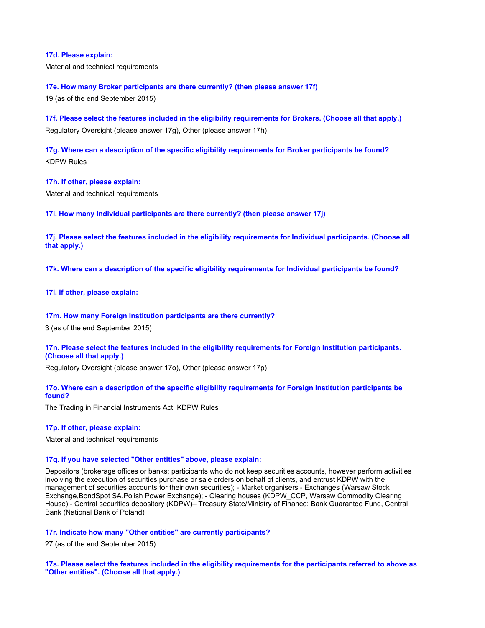## **17d. Please explain:**

Material and technical requirements

## **17e. How many Broker participants are there currently? (then please answer 17f)**

19 (as of the end September 2015)

**17f. Please select the features included in the eligibility requirements for Brokers. (Choose all that apply.)** Regulatory Oversight (please answer 17g), Other (please answer 17h)

**17g. Where can a description of the specific eligibility requirements for Broker participants be found?** KDPW Rules

**17h. If other, please explain:**

Material and technical requirements

**17i. How many Individual participants are there currently? (then please answer 17j)**

**17j. Please select the features included in the eligibility requirements for Individual participants. (Choose all that apply.)**

**17k. Where can a description of the specific eligibility requirements for Individual participants be found?**

**17l. If other, please explain:**

## **17m. How many Foreign Institution participants are there currently?**

3 (as of the end September 2015)

**17n. Please select the features included in the eligibility requirements for Foreign Institution participants. (Choose all that apply.)**

Regulatory Oversight (please answer 17o), Other (please answer 17p)

## **17o. Where can a description of the specific eligibility requirements for Foreign Institution participants be found?**

The Trading in Financial Instruments Act, KDPW Rules

## **17p. If other, please explain:**

Material and technical requirements

### **17q. If you have selected "Other entities" above, please explain:**

Depositors (brokerage offices or banks: participants who do not keep securities accounts, however perform activities involving the execution of securities purchase or sale orders on behalf of clients, and entrust KDPW with the management of securities accounts for their own securities); - Market organisers - Exchanges (Warsaw Stock Exchange,BondSpot SA,Polish Power Exchange); - Clearing houses (KDPW\_CCP, Warsaw Commodity Clearing House),- Central securities depository (KDPW)– Treasury State/Ministry of Finance; Bank Guarantee Fund, Central Bank (National Bank of Poland)

**17r. Indicate how many "Other entities" are currently participants?**

27 (as of the end September 2015)

**17s. Please select the features included in the eligibility requirements for the participants referred to above as "Other entities". (Choose all that apply.)**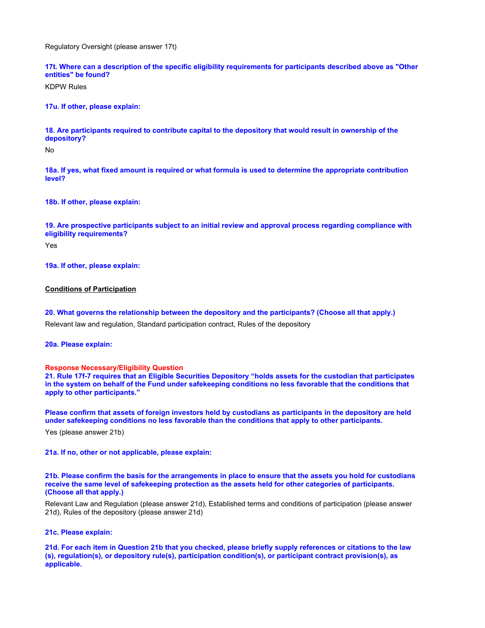Regulatory Oversight (please answer 17t)

**17t. Where can a description of the specific eligibility requirements for participants described above as "Other entities" be found?**

KDPW Rules

**17u. If other, please explain:**

**18. Are participants required to contribute capital to the depository that would result in ownership of the depository?**

No

**18a. If yes, what fixed amount is required or what formula is used to determine the appropriate contribution level?**

**18b. If other, please explain:**

**19. Are prospective participants subject to an initial review and approval process regarding compliance with eligibility requirements?**

Yes

**19a. If other, please explain:**

### **Conditions of Participation**

**20. What governs the relationship between the depository and the participants? (Choose all that apply.)**

Relevant law and regulation, Standard participation contract, Rules of the depository

**20a. Please explain:**

#### **Response Necessary/Eligibility Question**

**21. Rule 17f-7 requires that an Eligible Securities Depository "holds assets for the custodian that participates in the system on behalf of the Fund under safekeeping conditions no less favorable that the conditions that apply to other participants."**

**Please confirm that assets of foreign investors held by custodians as participants in the depository are held under safekeeping conditions no less favorable than the conditions that apply to other participants.**

Yes (please answer 21b)

**21a. If no, other or not applicable, please explain:**

**21b. Please confirm the basis for the arrangements in place to ensure that the assets you hold for custodians receive the same level of safekeeping protection as the assets held for other categories of participants. (Choose all that apply.)**

Relevant Law and Regulation (please answer 21d), Established terms and conditions of participation (please answer 21d), Rules of the depository (please answer 21d)

## **21c. Please explain:**

**21d. For each item in Question 21b that you checked, please briefly supply references or citations to the law (s), regulation(s), or depository rule(s), participation condition(s), or participant contract provision(s), as applicable.**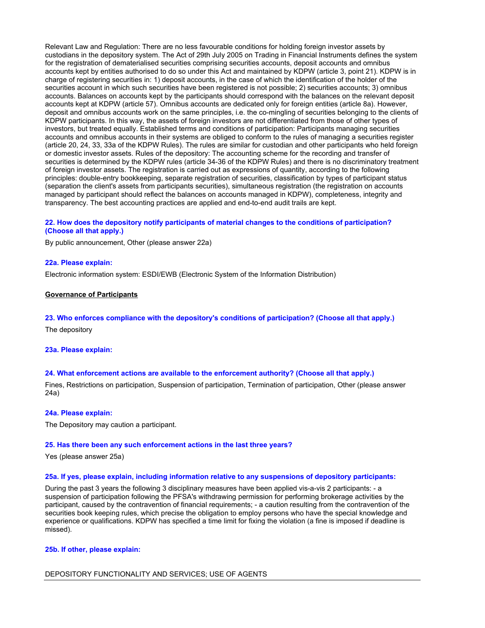Relevant Law and Regulation: There are no less favourable conditions for holding foreign investor assets by custodians in the depository system. The Act of 29th July 2005 on Trading in Financial Instruments defines the system for the registration of dematerialised securities comprising securities accounts, deposit accounts and omnibus accounts kept by entities authorised to do so under this Act and maintained by KDPW (article 3, point 21). KDPW is in charge of registering securities in: 1) deposit accounts, in the case of which the identification of the holder of the securities account in which such securities have been registered is not possible; 2) securities accounts; 3) omnibus accounts. Balances on accounts kept by the participants should correspond with the balances on the relevant deposit accounts kept at KDPW (article 57). Omnibus accounts are dedicated only for foreign entities (article 8a). However, deposit and omnibus accounts work on the same principles, i.e. the co-mingling of securities belonging to the clients of KDPW participants. In this way, the assets of foreign investors are not differentiated from those of other types of investors, but treated equally. Established terms and conditions of participation: Participants managing securities accounts and omnibus accounts in their systems are obliged to conform to the rules of managing a securities register (article 20, 24, 33, 33a of the KDPW Rules). The rules are similar for custodian and other participants who held foreign or domestic investor assets. Rules of the depository: The accounting scheme for the recording and transfer of securities is determined by the KDPW rules (article 34-36 of the KDPW Rules) and there is no discriminatory treatment of foreign investor assets. The registration is carried out as expressions of quantity, according to the following principles: double-entry bookkeeping, separate registration of securities, classification by types of participant status (separation the client's assets from participants securities), simultaneous registration (the registration on accounts managed by participant should reflect the balances on accounts managed in KDPW), completeness, integrity and transparency. The best accounting practices are applied and end-to-end audit trails are kept.

## **22. How does the depository notify participants of material changes to the conditions of participation? (Choose all that apply.)**

By public announcement, Other (please answer 22a)

#### **22a. Please explain:**

Electronic information system: ESDI/EWB (Electronic System of the Information Distribution)

#### **Governance of Participants**

#### **23. Who enforces compliance with the depository's conditions of participation? (Choose all that apply.)**

The depository

## **23a. Please explain:**

### **24. What enforcement actions are available to the enforcement authority? (Choose all that apply.)**

Fines, Restrictions on participation, Suspension of participation, Termination of participation, Other (please answer 24a)

#### **24a. Please explain:**

The Depository may caution a participant.

#### **25. Has there been any such enforcement actions in the last three years?**

Yes (please answer 25a)

#### **25a. If yes, please explain, including information relative to any suspensions of depository participants:**

During the past 3 years the following 3 disciplinary measures have been applied vis-a-vis 2 participants: - a suspension of participation following the PFSA's withdrawing permission for performing brokerage activities by the participant, caused by the contravention of financial requirements; - a caution resulting from the contravention of the securities book keeping rules, which precise the obligation to employ persons who have the special knowledge and experience or qualifications. KDPW has specified a time limit for fixing the violation (a fine is imposed if deadline is missed).

## **25b. If other, please explain:**

#### DEPOSITORY FUNCTIONALITY AND SERVICES; USE OF AGENTS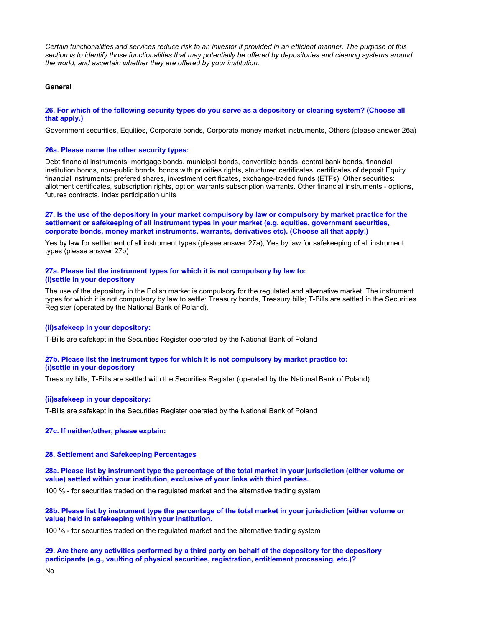*Certain functionalities and services reduce risk to an investor if provided in an efficient manner. The purpose of this section is to identify those functionalities that may potentially be offered by depositories and clearing systems around the world, and ascertain whether they are offered by your institution.*

## **General**

## **26. For which of the following security types do you serve as a depository or clearing system? (Choose all that apply.)**

Government securities, Equities, Corporate bonds, Corporate money market instruments, Others (please answer 26a)

#### **26a. Please name the other security types:**

Debt financial instruments: mortgage bonds, municipal bonds, convertible bonds, central bank bonds, financial institution bonds, non-public bonds, bonds with priorities rights, structured certificates, certificates of deposit Equity financial instruments: prefered shares, investment certificates, exchange-traded funds (ETFs). Other securities: allotment certificates, subscription rights, option warrants subscription warrants. Other financial instruments - options, futures contracts, index participation units

**27. Is the use of the depository in your market compulsory by law or compulsory by market practice for the settlement or safekeeping of all instrument types in your market (e.g. equities, government securities, corporate bonds, money market instruments, warrants, derivatives etc). (Choose all that apply.)**

Yes by law for settlement of all instrument types (please answer 27a), Yes by law for safekeeping of all instrument types (please answer 27b)

## **27a. Please list the instrument types for which it is not compulsory by law to: (i)settle in your depository**

The use of the depository in the Polish market is compulsory for the regulated and alternative market. The instrument types for which it is not compulsory by law to settle: Treasury bonds, Treasury bills; T-Bills are settled in the Securities Register (operated by the National Bank of Poland).

#### **(ii)safekeep in your depository:**

T-Bills are safekept in the Securities Register operated by the National Bank of Poland

## **27b. Please list the instrument types for which it is not compulsory by market practice to: (i)settle in your depository**

Treasury bills; T-Bills are settled with the Securities Register (operated by the National Bank of Poland)

#### **(ii)safekeep in your depository:**

T-Bills are safekept in the Securities Register operated by the National Bank of Poland

## **27c. If neither/other, please explain:**

## **28. Settlement and Safekeeping Percentages**

**28a. Please list by instrument type the percentage of the total market in your jurisdiction (either volume or value) settled within your institution, exclusive of your links with third parties.**

100 % - for securities traded on the regulated market and the alternative trading system

**28b. Please list by instrument type the percentage of the total market in your jurisdiction (either volume or value) held in safekeeping within your institution.**

100 % - for securities traded on the regulated market and the alternative trading system

### **29. Are there any activities performed by a third party on behalf of the depository for the depository participants (e.g., vaulting of physical securities, registration, entitlement processing, etc.)?**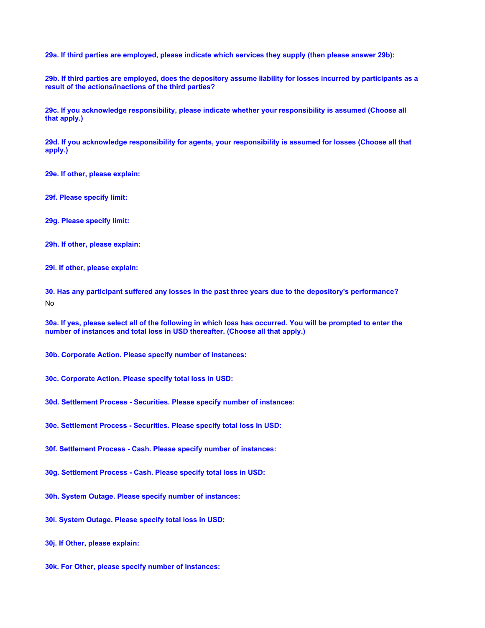**29a. If third parties are employed, please indicate which services they supply (then please answer 29b):**

**29b. If third parties are employed, does the depository assume liability for losses incurred by participants as a result of the actions/inactions of the third parties?**

**29c. If you acknowledge responsibility, please indicate whether your responsibility is assumed (Choose all that apply.)**

**29d. If you acknowledge responsibility for agents, your responsibility is assumed for losses (Choose all that apply.)**

**29e. If other, please explain:**

**29f. Please specify limit:**

**29g. Please specify limit:**

**29h. If other, please explain:**

**29i. If other, please explain:**

**30. Has any participant suffered any losses in the past three years due to the depository's performance?** No

**30a. If yes, please select all of the following in which loss has occurred. You will be prompted to enter the number of instances and total loss in USD thereafter. (Choose all that apply.)**

**30b. Corporate Action. Please specify number of instances:**

- **30c. Corporate Action. Please specify total loss in USD:**
- **30d. Settlement Process Securities. Please specify number of instances:**
- **30e. Settlement Process Securities. Please specify total loss in USD:**

**30f. Settlement Process - Cash. Please specify number of instances:**

- **30g. Settlement Process Cash. Please specify total loss in USD:**
- **30h. System Outage. Please specify number of instances:**
- **30i. System Outage. Please specify total loss in USD:**
- **30j. If Other, please explain:**
- **30k. For Other, please specify number of instances:**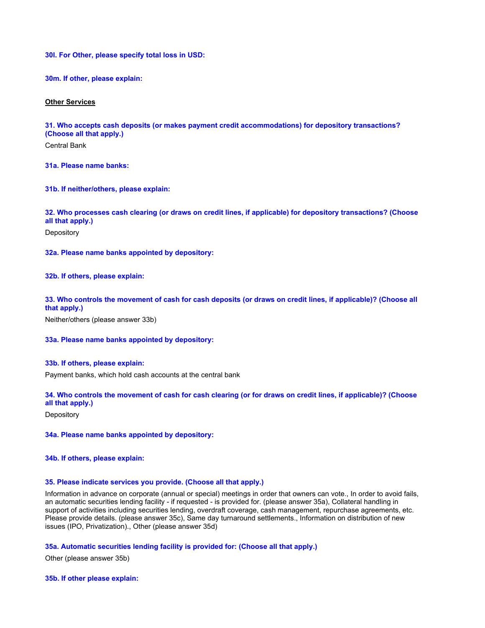**30l. For Other, please specify total loss in USD:**

**30m. If other, please explain:**

### **Other Services**

**31. Who accepts cash deposits (or makes payment credit accommodations) for depository transactions? (Choose all that apply.)**

Central Bank

**31a. Please name banks:**

**31b. If neither/others, please explain:**

**32. Who processes cash clearing (or draws on credit lines, if applicable) for depository transactions? (Choose all that apply.)**

**Depository** 

**32a. Please name banks appointed by depository:**

**32b. If others, please explain:**

**33. Who controls the movement of cash for cash deposits (or draws on credit lines, if applicable)? (Choose all that apply.)**

Neither/others (please answer 33b)

## **33a. Please name banks appointed by depository:**

### **33b. If others, please explain:**

Payment banks, which hold cash accounts at the central bank

## **34. Who controls the movement of cash for cash clearing (or for draws on credit lines, if applicable)? (Choose all that apply.)**

**Depository** 

**34a. Please name banks appointed by depository:**

**34b. If others, please explain:**

### **35. Please indicate services you provide. (Choose all that apply.)**

Information in advance on corporate (annual or special) meetings in order that owners can vote., In order to avoid fails, an automatic securities lending facility - if requested - is provided for. (please answer 35a), Collateral handling in support of activities including securities lending, overdraft coverage, cash management, repurchase agreements, etc. Please provide details. (please answer 35c), Same day turnaround settlements., Information on distribution of new issues (IPO, Privatization)., Other (please answer 35d)

## **35a. Automatic securities lending facility is provided for: (Choose all that apply.)**

Other (please answer 35b)

**35b. If other please explain:**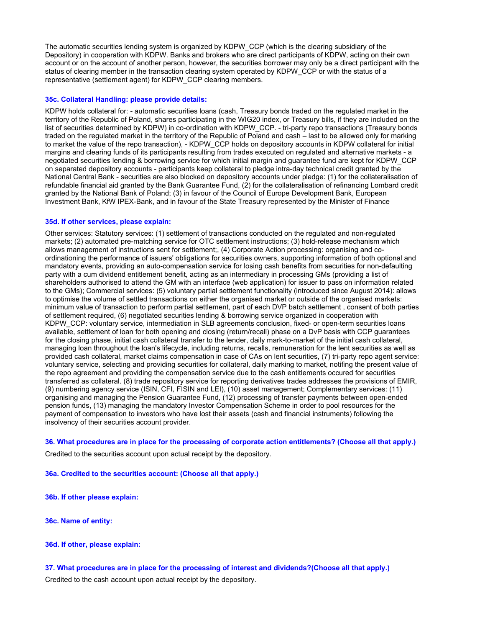The automatic securities lending system is organized by KDPW\_CCP (which is the clearing subsidiary of the Depository) in cooperation with KDPW. Banks and brokers who are direct participants of KDPW, acting on their own account or on the account of another person, however, the securities borrower may only be a direct participant with the status of clearing member in the transaction clearing system operated by KDPW, CCP or with the status of a representative (settlement agent) for KDPW\_CCP clearing members.

## **35c. Collateral Handling: please provide details:**

KDPW holds collateral for: - automatic securities loans (cash, Treasury bonds traded on the regulated market in the territory of the Republic of Poland, shares participating in the WIG20 index, or Treasury bills, if they are included on the list of securities determined by KDPW) in co-ordination with KDPW\_CCP. - tri-party repo transactions (Treasury bonds traded on the regulated market in the territory of the Republic of Poland and cash – last to be allowed only for marking to market the value of the repo transaction), - KDPW\_CCP holds on depository accounts in KDPW collateral for initial margins and clearing funds of its participants resulting from trades executed on regulated and alternative markets - a negotiated securities lending & borrowing service for which initial margin and guarantee fund are kept for KDPW\_CCP on separated depository accounts - participants keep collateral to pledge intra-day technical credit granted by the National Central Bank - securities are also blocked on depository accounts under pledge: (1) for the collateralisation of refundable financial aid granted by the Bank Guarantee Fund, (2) for the collateralisation of refinancing Lombard credit granted by the National Bank of Poland; (3) in favour of the Council of Europe Development Bank, European Investment Bank, KfW IPEX-Bank, and in favour of the State Treasury represented by the Minister of Finance

## **35d. If other services, please explain:**

Other services: Statutory services: (1) settlement of transactions conducted on the regulated and non-regulated markets; (2) automated pre-matching service for OTC settlement instructions; (3) hold-release mechanism which allows management of instructions sent for settlement;, (4) Corporate Action processing: organising and coordinationing the performance of issuers' obligations for securities owners, supporting information of both optional and mandatory events, providing an auto-compensation service for losing cash benefits from securities for non-defaulting party with a cum dividend entitlement benefit, acting as an intermediary in processing GMs (providing a list of shareholders authorised to attend the GM with an interface (web application) for issuer to pass on information related to the GMs); Commercial services: (5) voluntary partial settlement functionality (introduced since August 2014): allows to optimise the volume of settled transactions on either the organised market or outside of the organised markets: minimum value of transaction to perform partial settlement, part of each DVP batch settlement , consent of both parties of settlement required, (6) negotiated securities lending & borrowing service organized in cooperation with KDPW\_CCP: voluntary service, intermediation in SLB agreements conclusion, fixed- or open-term securities loans available, settlement of loan for both opening and closing (return/recall) phase on a DvP basis with CCP guarantees for the closing phase, initial cash collateral transfer to the lender, daily mark-to-market of the initial cash collateral, managing loan throughout the loan's lifecycle, including returns, recalls, remuneration for the lent securities as well as provided cash collateral, market claims compensation in case of CAs on lent securities, (7) tri-party repo agent service: voluntary service, selecting and providing securities for collateral, daily marking to market, notifing the present value of the repo agreement and providing the compensation service due to the cash entitlements occured for securities transferred as collateral. (8) trade repository service for reporting derivatives trades addresses the provisions of EMIR, (9) numbering agency service (ISIN, CFI, FISIN and LEI), (10) asset management; Complementary services: (11) organising and managing the Pension Guarantee Fund, (12) processing of transfer payments between open-ended pension funds, (13) managing the mandatory Investor Compensation Scheme in order to pool resources for the payment of compensation to investors who have lost their assets (cash and financial instruments) following the insolvency of their securities account provider.

**36. What procedures are in place for the processing of corporate action entitlements? (Choose all that apply.)**

Credited to the securities account upon actual receipt by the depository.

**36a. Credited to the securities account: (Choose all that apply.)**

- **36b. If other please explain:**
- **36c. Name of entity:**
- **36d. If other, please explain:**

**37. What procedures are in place for the processing of interest and dividends?(Choose all that apply.)** Credited to the cash account upon actual receipt by the depository.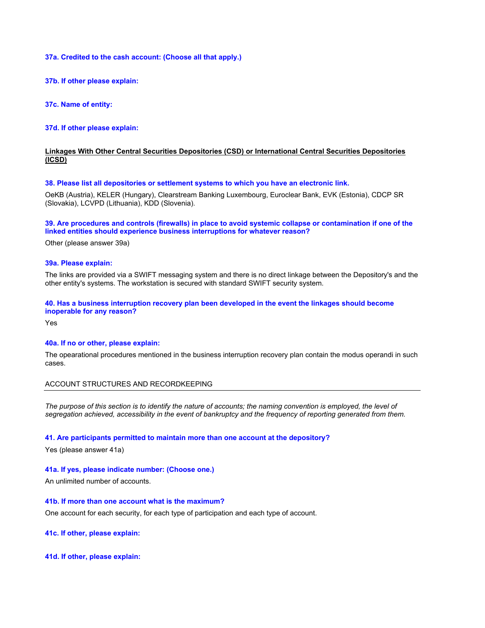## **37a. Credited to the cash account: (Choose all that apply.)**

**37b. If other please explain:**

**37c. Name of entity:**

**37d. If other please explain:**

## **Linkages With Other Central Securities Depositories (CSD) or International Central Securities Depositories (ICSD)**

## **38. Please list all depositories or settlement systems to which you have an electronic link.**

OeKB (Austria), KELER (Hungary), Clearstream Banking Luxembourg, Euroclear Bank, EVK (Estonia), CDCP SR (Slovakia), LCVPD (Lithuania), KDD (Slovenia).

## **39. Are procedures and controls (firewalls) in place to avoid systemic collapse or contamination if one of the linked entities should experience business interruptions for whatever reason?**

Other (please answer 39a)

#### **39a. Please explain:**

The links are provided via a SWIFT messaging system and there is no direct linkage between the Depository's and the other entity's systems. The workstation is secured with standard SWIFT security system.

## **40. Has a business interruption recovery plan been developed in the event the linkages should become inoperable for any reason?**

Yes

### **40a. If no or other, please explain:**

The opearational procedures mentioned in the business interruption recovery plan contain the modus operandi in such cases.

## ACCOUNT STRUCTURES AND RECORDKEEPING

The purpose of this section is to identify the nature of accounts; the naming convention is employed, the level of *segregation achieved, accessibility in the event of bankruptcy and the frequency of reporting generated from them.*

#### **41. Are participants permitted to maintain more than one account at the depository?**

Yes (please answer 41a)

### **41a. If yes, please indicate number: (Choose one.)**

An unlimited number of accounts.

## **41b. If more than one account what is the maximum?**

One account for each security, for each type of participation and each type of account.

**41c. If other, please explain:**

**41d. If other, please explain:**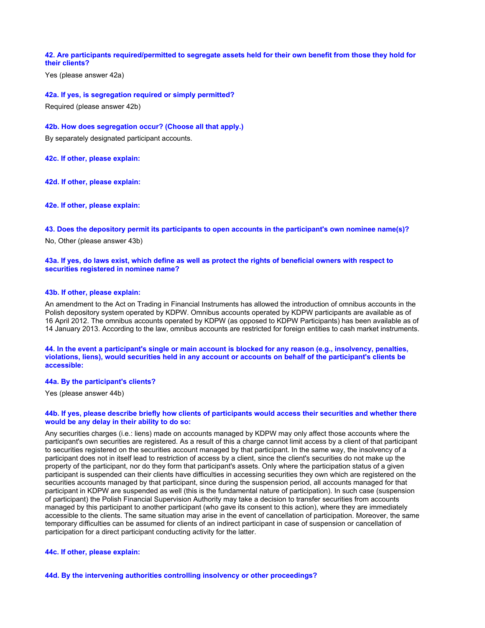## **42. Are participants required/permitted to segregate assets held for their own benefit from those they hold for their clients?**

Yes (please answer 42a)

**42a. If yes, is segregation required or simply permitted?**

Required (please answer 42b)

#### **42b. How does segregation occur? (Choose all that apply.)**

By separately designated participant accounts.

**42c. If other, please explain:**

**42d. If other, please explain:**

**42e. If other, please explain:**

**43. Does the depository permit its participants to open accounts in the participant's own nominee name(s)?**

No, Other (please answer 43b)

### **43a. If yes, do laws exist, which define as well as protect the rights of beneficial owners with respect to securities registered in nominee name?**

## **43b. If other, please explain:**

An amendment to the Act on Trading in Financial Instruments has allowed the introduction of omnibus accounts in the Polish depository system operated by KDPW. Omnibus accounts operated by KDPW participants are available as of 16 April 2012. The omnibus accounts operated by KDPW (as opposed to KDPW Participants) has been available as of 14 January 2013. According to the law, omnibus accounts are restricted for foreign entities to cash market instruments.

#### **44. In the event a participant's single or main account is blocked for any reason (e.g., insolvency, penalties, violations, liens), would securities held in any account or accounts on behalf of the participant's clients be accessible:**

#### **44a. By the participant's clients?**

Yes (please answer 44b)

### **44b. If yes, please describe briefly how clients of participants would access their securities and whether there would be any delay in their ability to do so:**

Any securities charges (i.e.: liens) made on accounts managed by KDPW may only affect those accounts where the participant's own securities are registered. As a result of this a charge cannot limit access by a client of that participant to securities registered on the securities account managed by that participant. In the same way, the insolvency of a participant does not in itself lead to restriction of access by a client, since the client's securities do not make up the property of the participant, nor do they form that participant's assets. Only where the participation status of a given participant is suspended can their clients have difficulties in accessing securities they own which are registered on the securities accounts managed by that participant, since during the suspension period, all accounts managed for that participant in KDPW are suspended as well (this is the fundamental nature of participation). In such case (suspension of participant) the Polish Financial Supervision Authority may take a decision to transfer securities from accounts managed by this participant to another participant (who gave its consent to this action), where they are immediately accessible to the clients. The same situation may arise in the event of cancellation of participation. Moreover, the same temporary difficulties can be assumed for clients of an indirect participant in case of suspension or cancellation of participation for a direct participant conducting activity for the latter.

## **44c. If other, please explain:**

**44d. By the intervening authorities controlling insolvency or other proceedings?**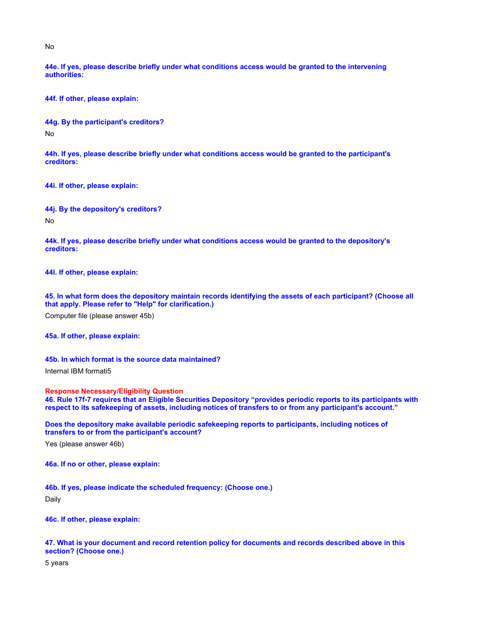No

**44e. If yes, please describe briefly under what conditions access would be granted to the intervening authorities:**

**44f. If other, please explain:**

**44g. By the participant's creditors?**

No

**44h. If yes, please describe briefly under what conditions access would be granted to the participant's creditors:**

**44i. If other, please explain:**

**44j. By the depository's creditors?**

No

**44k. If yes, please describe briefly under what conditions access would be granted to the depository's creditors:**

**44l. If other, please explain:**

**45. In what form does the depository maintain records identifying the assets of each participant? (Choose all that apply. Please refer to "Help" for clarification.)**

Computer file (please answer 45b)

**45a. If other, please explain:**

**45b. In which format is the source data maintained?**

Internal IBM formati5

**Response Necessary/Eligibility Question 46. Rule 17f-7 requires that an Eligible Securities Depository "provides periodic reports to its participants with respect to its safekeeping of assets, including notices of transfers to or from any participant's account."**

**Does the depository make available periodic safekeeping reports to participants, including notices of transfers to or from the participant's account?**

Yes (please answer 46b)

**46a. If no or other, please explain:**

**46b. If yes, please indicate the scheduled frequency: (Choose one.)**

Daily

**46c. If other, please explain:**

**47. What is your document and record retention policy for documents and records described above in this section? (Choose one.)**

5 years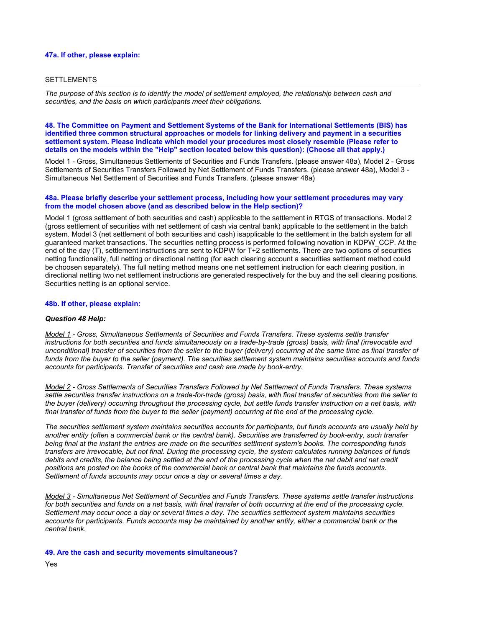## **47a. If other, please explain:**

### SETTLEMENTS

*The purpose of this section is to identify the model of settlement employed, the relationship between cash and securities, and the basis on which participants meet their obligations.*

### **48. The Committee on Payment and Settlement Systems of the Bank for International Settlements (BIS) has identified three common structural approaches or models for linking delivery and payment in a securities settlement system. Please indicate which model your procedures most closely resemble (Please refer to details on the models within the "Help" section located below this question): (Choose all that apply.)**

Model 1 - Gross, Simultaneous Settlements of Securities and Funds Transfers. (please answer 48a), Model 2 - Gross Settlements of Securities Transfers Followed by Net Settlement of Funds Transfers. (please answer 48a), Model 3 - Simultaneous Net Settlement of Securities and Funds Transfers. (please answer 48a)

### **48a. Please briefly describe your settlement process, including how your settlement procedures may vary from the model chosen above (and as described below in the Help section)?**

Model 1 (gross settlement of both securities and cash) applicable to the settlement in RTGS of transactions. Model 2 (gross settlement of securities with net settlement of cash via central bank) applicable to the settlement in the batch system. Model 3 (net settlement of both securities and cash) isapplicable to the settlement in the batch system for all guaranteed market transactions. The securities netting process is performed following novation in KDPW\_CCP. At the end of the day (T), settlement instructions are sent to KDPW for T+2 settlements. There are two options of securities netting functionality, full netting or directional netting (for each clearing account a securities settlement method could be choosen separately). The full netting method means one net settlement instruction for each clearing position, in directional netting two net settlement instructions are generated respectively for the buy and the sell clearing positions. Securities netting is an optional service.

#### **48b. If other, please explain:**

#### *Question 48 Help:*

*Model 1 - Gross, Simultaneous Settlements of Securities and Funds Transfers. These systems settle transfer instructions for both securities and funds simultaneously on a trade-by-trade (gross) basis, with final (irrevocable and unconditional) transfer of securities from the seller to the buyer (delivery) occurring at the same time as final transfer of funds from the buyer to the seller (payment). The securities settlement system maintains securities accounts and funds accounts for participants. Transfer of securities and cash are made by book-entry.*

*Model 2 - Gross Settlements of Securities Transfers Followed by Net Settlement of Funds Transfers. These systems settle securities transfer instructions on a trade-for-trade (gross) basis, with final transfer of securities from the seller to the buyer (delivery) occurring throughout the processing cycle, but settle funds transfer instruction on a net basis, with final transfer of funds from the buyer to the seller (payment) occurring at the end of the processing cycle.*

*The securities settlement system maintains securities accounts for participants, but funds accounts are usually held by another entity (often a commercial bank or the central bank). Securities are transferred by book-entry, such transfer being final at the instant the entries are made on the securities settlment system's books. The corresponding funds transfers are irrevocable, but not final. During the processing cycle, the system calculates running balances of funds*  debits and credits, the balance being settled at the end of the processing cycle when the net debit and net credit *positions are posted on the books of the commercial bank or central bank that maintains the funds accounts. Settlement of funds accounts may occur once a day or several times a day.*

*Model 3 - Simultaneous Net Settlement of Securities and Funds Transfers. These systems settle transfer instructions for both securities and funds on a net basis, with final transfer of both occurring at the end of the processing cycle. Settlement may occur once a day or several times a day. The securities settlement system maintains securities accounts for participants. Funds accounts may be maintained by another entity, either a commercial bank or the central bank.*

**49. Are the cash and security movements simultaneous?**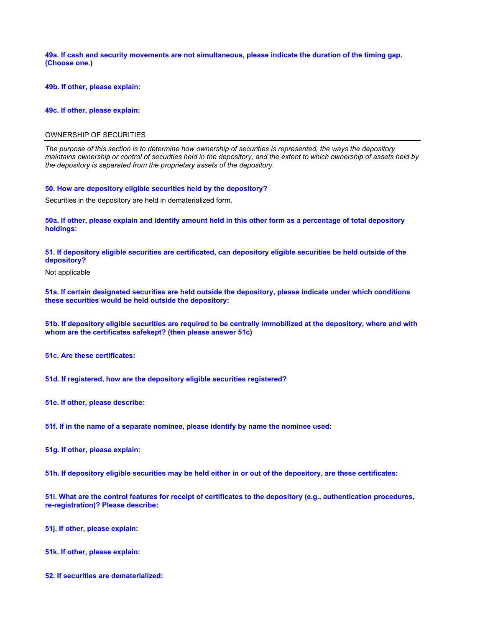**49a. If cash and security movements are not simultaneous, please indicate the duration of the timing gap. (Choose one.)**

**49b. If other, please explain:**

**49c. If other, please explain:**

### OWNERSHIP OF SECURITIES

*The purpose of this section is to determine how ownership of securities is represented, the ways the depository maintains ownership or control of securities held in the depository, and the extent to which ownership of assets held by the depository is separated from the proprietary assets of the depository.*

#### **50. How are depository eligible securities held by the depository?**

Securities in the depository are held in dematerialized form.

**50a. If other, please explain and identify amount held in this other form as a percentage of total depository holdings:**

**51. If depository eligible securities are certificated, can depository eligible securities be held outside of the depository?**

Not applicable

**51a. If certain designated securities are held outside the depository, please indicate under which conditions these securities would be held outside the depository:**

**51b. If depository eligible securities are required to be centrally immobilized at the depository, where and with whom are the certificates safekept? (then please answer 51c)**

**51c. Are these certificates:**

**51d. If registered, how are the depository eligible securities registered?**

**51e. If other, please describe:**

**51f. If in the name of a separate nominee, please identify by name the nominee used:**

**51g. If other, please explain:**

**51h. If depository eligible securities may be held either in or out of the depository, are these certificates:**

**51i. What are the control features for receipt of certificates to the depository (e.g., authentication procedures, re-registration)? Please describe:**

**51j. If other, please explain:**

**51k. If other, please explain:**

**52. If securities are dematerialized:**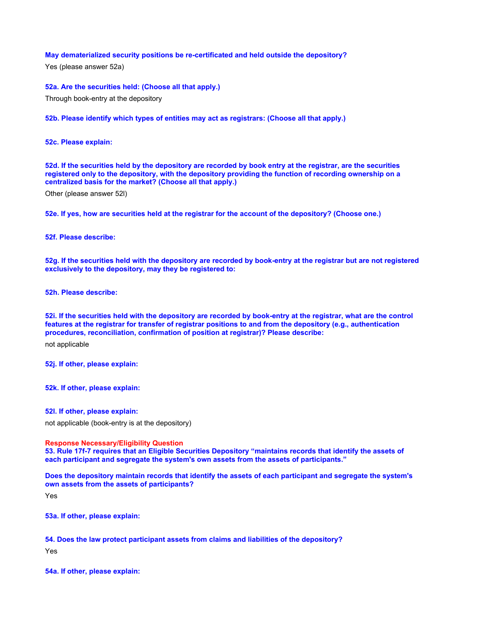## **May dematerialized security positions be re-certificated and held outside the depository?**

Yes (please answer 52a)

**52a. Are the securities held: (Choose all that apply.)**

Through book-entry at the depository

**52b. Please identify which types of entities may act as registrars: (Choose all that apply.)**

**52c. Please explain:**

**52d. If the securities held by the depository are recorded by book entry at the registrar, are the securities registered only to the depository, with the depository providing the function of recording ownership on a centralized basis for the market? (Choose all that apply.)**

Other (please answer 52l)

**52e. If yes, how are securities held at the registrar for the account of the depository? (Choose one.)**

**52f. Please describe:**

**52g. If the securities held with the depository are recorded by book-entry at the registrar but are not registered exclusively to the depository, may they be registered to:**

**52h. Please describe:**

**52i. If the securities held with the depository are recorded by book-entry at the registrar, what are the control features at the registrar for transfer of registrar positions to and from the depository (e.g., authentication procedures, reconciliation, confirmation of position at registrar)? Please describe:**

not applicable

**52j. If other, please explain:**

**52k. If other, please explain:**

**52l. If other, please explain:**

not applicable (book-entry is at the depository)

**Response Necessary/Eligibility Question**

**53. Rule 17f-7 requires that an Eligible Securities Depository "maintains records that identify the assets of each participant and segregate the system's own assets from the assets of participants."**

**Does the depository maintain records that identify the assets of each participant and segregate the system's own assets from the assets of participants?**

Yes

**53a. If other, please explain:**

**54. Does the law protect participant assets from claims and liabilities of the depository?**

Yes

**54a. If other, please explain:**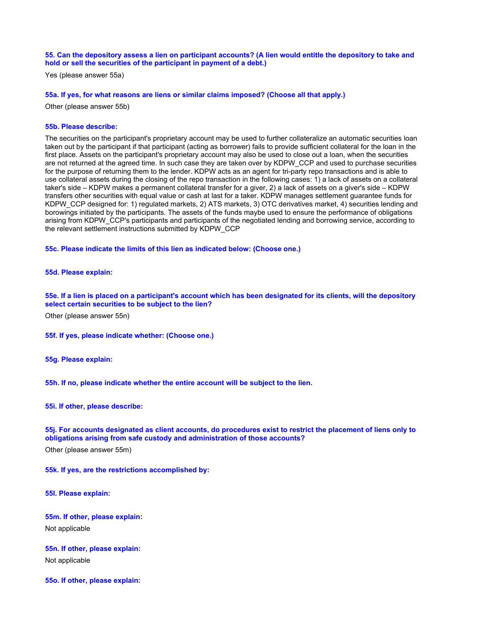#### **55. Can the depository assess a lien on participant accounts? (A lien would entitle the depository to take and hold or sell the securities of the participant in payment of a debt.)**

Yes (please answer 55a)

#### **55a. If yes, for what reasons are liens or similar claims imposed? (Choose all that apply.)**

Other (please answer 55b)

#### **55b. Please describe:**

The securities on the participant's proprietary account may be used to further collateralize an automatic securities loan taken out by the participant if that participant (acting as borrower) fails to provide sufficient collateral for the loan in the first place. Assets on the participant's proprietary account may also be used to close out a loan, when the securities are not returned at the agreed time. In such case they are taken over by KDPW\_CCP and used to purchase securities for the purpose of returning them to the lender. KDPW acts as an agent for tri-party repo transactions and is able to use collateral assets during the closing of the repo transaction in the following cases: 1) a lack of assets on a collateral taker's side – KDPW makes a permanent collateral transfer for a giver, 2) a lack of assets on a giver's side – KDPW transfers other securities with equal value or cash at last for a taker. KDPW manages settlement guarantee funds for KDPW\_CCP designed for: 1) regulated markets, 2) ATS markets, 3) OTC derivatives market, 4) securities lending and borowings initiated by the participants. The assets of the funds maybe used to ensure the performance of obligations arising from KDPW\_CCP's participants and participants of the negotiated lending and borrowing service, according to the relevant settlement instructions submitted by KDPW\_CCP

**55c. Please indicate the limits of this lien as indicated below: (Choose one.)**

#### **55d. Please explain:**

**55e. If a lien is placed on a participant's account which has been designated for its clients, will the depository select certain securities to be subject to the lien?**

Other (please answer 55n)

**55f. If yes, please indicate whether: (Choose one.)**

**55g. Please explain:**

**55h. If no, please indicate whether the entire account will be subject to the lien.**

**55i. If other, please describe:**

**55j. For accounts designated as client accounts, do procedures exist to restrict the placement of liens only to obligations arising from safe custody and administration of those accounts?**

Other (please answer 55m)

**55k. If yes, are the restrictions accomplished by:**

**55l. Please explain:**

**55m. If other, please explain:** Not applicable

**55n. If other, please explain:**

Not applicable

**55o. If other, please explain:**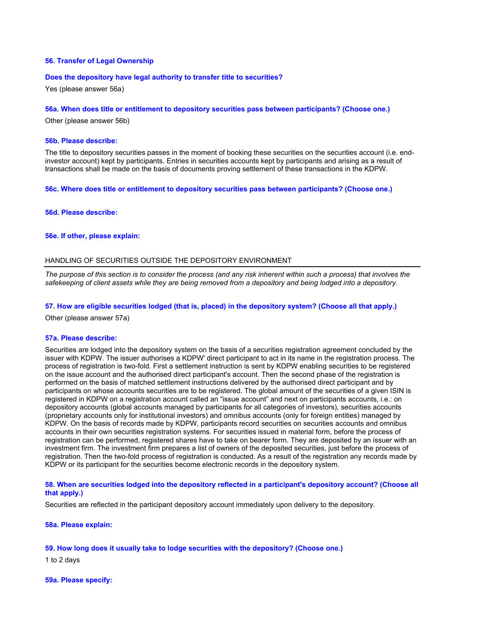## **56. Transfer of Legal Ownership**

#### **Does the depository have legal authority to transfer title to securities?**

Yes (please answer 56a)

### **56a. When does title or entitlement to depository securities pass between participants? (Choose one.)**

Other (please answer 56b)

## **56b. Please describe:**

The title to depository securities passes in the moment of booking these securities on the securities account (i.e. endinvestor account) kept by participants. Entries in securities accounts kept by participants and arising as a result of transactions shall be made on the basis of documents proving settlement of these transactions in the KDPW.

**56c. Where does title or entitlement to depository securities pass between participants? (Choose one.)**

#### **56d. Please describe:**

#### **56e. If other, please explain:**

## HANDLING OF SECURITIES OUTSIDE THE DEPOSITORY ENVIRONMENT

*The purpose of this section is to consider the process (and any risk inherent within such a process) that involves the safekeeping of client assets while they are being removed from a depository and being lodged into a depository.*

## **57. How are eligible securities lodged (that is, placed) in the depository system? (Choose all that apply.)**

Other (please answer 57a)

#### **57a. Please describe:**

Securities are lodged into the depository system on the basis of a securities registration agreement concluded by the issuer with KDPW. The issuer authorises a KDPW' direct participant to act in its name in the registration process. The process of registration is two-fold. First a settlement instruction is sent by KDPW enabling securities to be registered on the issue account and the authorised direct participant's account. Then the second phase of the registration is performed on the basis of matched settlement instructions delivered by the authorised direct participant and by participants on whose accounts securities are to be registered. The global amount of the securities of a given ISIN is registered in KDPW on a registration account called an "issue account" and next on participants accounts, i.e.: on depository accounts (global accounts managed by participants for all categories of investors), securities accounts (proprietary accounts only for institutional investors) and omnibus accounts (only for foreign entities) managed by KDPW. On the basis of records made by KDPW, participants record securities on securities accounts and omnibus accounts in their own securities registration systems. For securities issued in material form, before the process of registration can be performed, registered shares have to take on bearer form. They are deposited by an issuer with an investment firm. The investment firm prepares a list of owners of the deposited securities, just before the process of registration. Then the two-fold process of registration is conducted. As a result of the registration any records made by KDPW or its participant for the securities become electronic records in the depository system.

## **58. When are securities lodged into the depository reflected in a participant's depository account? (Choose all that apply.)**

Securities are reflected in the participant depository account immediately upon delivery to the depository.

#### **58a. Please explain:**

### **59. How long does it usually take to lodge securities with the depository? (Choose one.)**

1 to 2 days

#### **59a. Please specify:**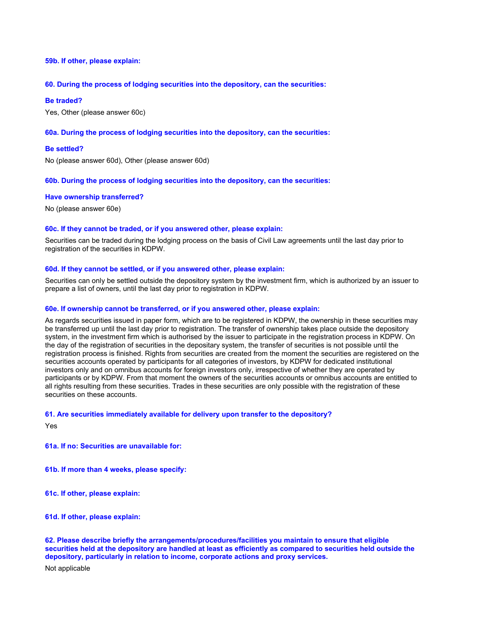## **59b. If other, please explain:**

## **60. During the process of lodging securities into the depository, can the securities:**

#### **Be traded?**

Yes, Other (please answer 60c)

### **60a. During the process of lodging securities into the depository, can the securities:**

## **Be settled?**

No (please answer 60d), Other (please answer 60d)

### **60b. During the process of lodging securities into the depository, can the securities:**

## **Have ownership transferred?**

No (please answer 60e)

## **60c. If they cannot be traded, or if you answered other, please explain:**

Securities can be traded during the lodging process on the basis of Civil Law agreements until the last day prior to registration of the securities in KDPW.

## **60d. If they cannot be settled, or if you answered other, please explain:**

Securities can only be settled outside the depository system by the investment firm, which is authorized by an issuer to prepare a list of owners, until the last day prior to registration in KDPW.

## **60e. If ownership cannot be transferred, or if you answered other, please explain:**

As regards securities issued in paper form, which are to be registered in KDPW, the ownership in these securities may be transferred up until the last day prior to registration. The transfer of ownership takes place outside the depository system, in the investment firm which is authorised by the issuer to participate in the registration process in KDPW. On the day of the registration of securities in the depositary system, the transfer of securities is not possible until the registration process is finished. Rights from securities are created from the moment the securities are registered on the securities accounts operated by participants for all categories of investors, by KDPW for dedicated institutional investors only and on omnibus accounts for foreign investors only, irrespective of whether they are operated by participants or by KDPW. From that moment the owners of the securities accounts or omnibus accounts are entitled to all rights resulting from these securities. Trades in these securities are only possible with the registration of these securities on these accounts.

#### **61. Are securities immediately available for delivery upon transfer to the depository?**

Yes

**61a. If no: Securities are unavailable for:**

**61b. If more than 4 weeks, please specify:**

**61c. If other, please explain:**

**61d. If other, please explain:**

**62. Please describe briefly the arrangements/procedures/facilities you maintain to ensure that eligible securities held at the depository are handled at least as efficiently as compared to securities held outside the depository, particularly in relation to income, corporate actions and proxy services.**

Not applicable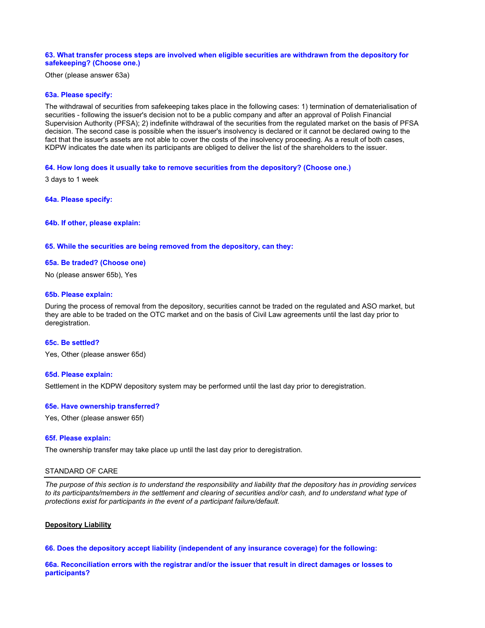### **63. What transfer process steps are involved when eligible securities are withdrawn from the depository for safekeeping? (Choose one.)**

Other (please answer 63a)

## **63a. Please specify:**

The withdrawal of securities from safekeeping takes place in the following cases: 1) termination of dematerialisation of securities - following the issuer's decision not to be a public company and after an approval of Polish Financial Supervision Authority (PFSA); 2) indefinite withdrawal of the securities from the regulated market on the basis of PFSA decision. The second case is possible when the issuer's insolvency is declared or it cannot be declared owing to the fact that the issuer's assets are not able to cover the costs of the insolvency proceeding. As a result of both cases, KDPW indicates the date when its participants are obliged to deliver the list of the shareholders to the issuer.

#### **64. How long does it usually take to remove securities from the depository? (Choose one.)**

3 days to 1 week

**64a. Please specify:**

**64b. If other, please explain:**

## **65. While the securities are being removed from the depository, can they:**

#### **65a. Be traded? (Choose one)**

No (please answer 65b), Yes

#### **65b. Please explain:**

During the process of removal from the depository, securities cannot be traded on the regulated and ASO market, but they are able to be traded on the OTC market and on the basis of Civil Law agreements until the last day prior to deregistration.

### **65c. Be settled?**

Yes, Other (please answer 65d)

## **65d. Please explain:**

Settlement in the KDPW depository system may be performed until the last day prior to deregistration.

#### **65e. Have ownership transferred?**

Yes, Other (please answer 65f)

#### **65f. Please explain:**

The ownership transfer may take place up until the last day prior to deregistration.

#### STANDARD OF CARE

*The purpose of this section is to understand the responsibility and liability that the depository has in providing services*  to its participants/members in the settlement and clearing of securities and/or cash, and to understand what type of *protections exist for participants in the event of a participant failure/default.*

#### **Depository Liability**

**66. Does the depository accept liability (independent of any insurance coverage) for the following:**

**66a. Reconciliation errors with the registrar and/or the issuer that result in direct damages or losses to participants?**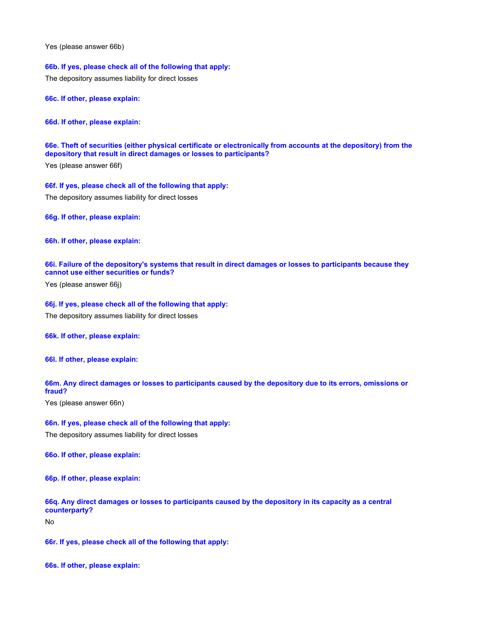Yes (please answer 66b)

**66b. If yes, please check all of the following that apply:**

The depository assumes liability for direct losses

**66c. If other, please explain:**

**66d. If other, please explain:**

**66e. Theft of securities (either physical certificate or electronically from accounts at the depository) from the depository that result in direct damages or losses to participants?**

Yes (please answer 66f)

**66f. If yes, please check all of the following that apply:** The depository assumes liability for direct losses

**66g. If other, please explain:**

**66h. If other, please explain:**

## **66i. Failure of the depository's systems that result in direct damages or losses to participants because they cannot use either securities or funds?**

Yes (please answer 66j)

### **66j. If yes, please check all of the following that apply:**

The depository assumes liability for direct losses

## **66k. If other, please explain:**

**66l. If other, please explain:**

## **66m. Any direct damages or losses to participants caused by the depository due to its errors, omissions or fraud?**

Yes (please answer 66n)

# **66n. If yes, please check all of the following that apply:**

The depository assumes liability for direct losses

**66o. If other, please explain:**

**66p. If other, please explain:**

## **66q. Any direct damages or losses to participants caused by the depository in its capacity as a central counterparty?**

No

**66r. If yes, please check all of the following that apply:**

**66s. If other, please explain:**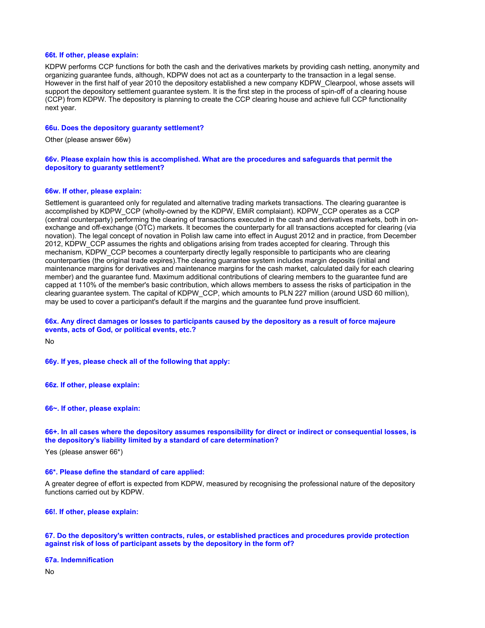## **66t. If other, please explain:**

KDPW performs CCP functions for both the cash and the derivatives markets by providing cash netting, anonymity and organizing guarantee funds, although, KDPW does not act as a counterparty to the transaction in a legal sense. However in the first half of year 2010 the depository established a new company KDPW\_Clearpool, whose assets will support the depository settlement guarantee system. It is the first step in the process of spin-off of a clearing house (CCP) from KDPW. The depository is planning to create the CCP clearing house and achieve full CCP functionality next year.

#### **66u. Does the depository guaranty settlement?**

Other (please answer 66w)

### **66v. Please explain how this is accomplished. What are the procedures and safeguards that permit the depository to guaranty settlement?**

## **66w. If other, please explain:**

Settlement is guaranteed only for regulated and alternative trading markets transactions. The clearing guarantee is accomplished by KDPW\_CCP (wholly-owned by the KDPW, EMiR complaiant). KDPW\_CCP operates as a CCP (central counterparty) performing the clearing of transactions executed in the cash and derivatives markets, both in onexchange and off-exchange (OTC) markets. It becomes the counterparty for all transactions accepted for clearing (via novation). The legal concept of novation in Polish law came into effect in August 2012 and in practice, from December 2012, KDPW\_CCP assumes the rights and obligations arising from trades accepted for clearing. Through this mechanism, KDPW\_CCP becomes a counterparty directly legally responsible to participants who are clearing counterparties (the original trade expires).The clearing guarantee system includes margin deposits (initial and maintenance margins for derivatives and maintenance margins for the cash market, calculated daily for each clearing member) and the guarantee fund. Maximum additional contributions of clearing members to the guarantee fund are capped at 110% of the member's basic contribution, which allows members to assess the risks of participation in the clearing guarantee system. The capital of KDPW\_CCP, which amounts to PLN 227 million (around USD 60 million), may be used to cover a participant's default if the margins and the guarantee fund prove insufficient.

## **66x. Any direct damages or losses to participants caused by the depository as a result of force majeure events, acts of God, or political events, etc.?**

No

**66y. If yes, please check all of the following that apply:**

**66z. If other, please explain:**

**66~. If other, please explain:**

#### **66+. In all cases where the depository assumes responsibility for direct or indirect or consequential losses, is the depository's liability limited by a standard of care determination?**

Yes (please answer 66\*)

#### **66\*. Please define the standard of care applied:**

A greater degree of effort is expected from KDPW, measured by recognising the professional nature of the depository functions carried out by KDPW.

**66!. If other, please explain:**

#### **67. Do the depository's written contracts, rules, or established practices and procedures provide protection against risk of loss of participant assets by the depository in the form of?**

#### **67a. Indemnification**

No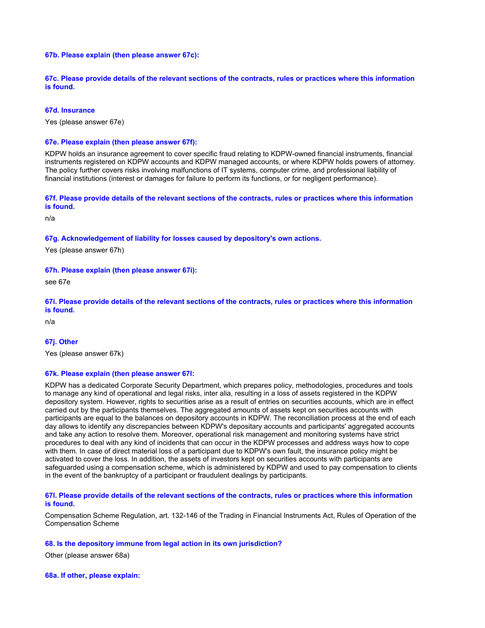## **67b. Please explain (then please answer 67c):**

**67c. Please provide details of the relevant sections of the contracts, rules or practices where this information is found.**

### **67d. Insurance**

Yes (please answer 67e)

#### **67e. Please explain (then please answer 67f):**

KDPW holds an insurance agreement to cover specific fraud relating to KDPW-owned financial instruments, financial instruments registered on KDPW accounts and KDPW managed accounts, or where KDPW holds powers of attorney. The policy further covers risks involving malfunctions of IT systems, computer crime, and professional liability of financial institutions (interest or damages for failure to perform its functions, or for negligent performance).

## **67f. Please provide details of the relevant sections of the contracts, rules or practices where this information is found.**

n/a

## **67g. Acknowledgement of liability for losses caused by depository's own actions.**

Yes (please answer 67h)

## **67h. Please explain (then please answer 67i):**

see 67e

## **67i. Please provide details of the relevant sections of the contracts, rules or practices where this information is found.**

n/a

## **67j. Other**

Yes (please answer 67k)

#### **67k. Please explain (then please answer 67l:**

KDPW has a dedicated Corporate Security Department, which prepares policy, methodologies, procedures and tools to manage any kind of operational and legal risks, inter alia, resulting in a loss of assets registered in the KDPW depository system. However, rights to securities arise as a result of entries on securities accounts, which are in effect carried out by the participants themselves. The aggregated amounts of assets kept on securities accounts with participants are equal to the balances on depository accounts in KDPW. The reconciliation process at the end of each day allows to identify any discrepancies between KDPW's depositary accounts and participants' aggregated accounts and take any action to resolve them. Moreover, operational risk management and monitoring systems have strict procedures to deal with any kind of incidents that can occur in the KDPW processes and address ways how to cope with them. In case of direct material loss of a participant due to KDPW's own fault, the insurance policy might be activated to cover the loss. In addition, the assets of investors kept on securities accounts with participants are safeguarded using a compensation scheme, which is administered by KDPW and used to pay compensation to clients in the event of the bankruptcy of a participant or fraudulent dealings by participants.

## **67l. Please provide details of the relevant sections of the contracts, rules or practices where this information is found.**

Compensation Scheme Regulation, art. 132-146 of the Trading in Financial Instruments Act, Rules of Operation of the Compensation Scheme

#### **68. Is the depository immune from legal action in its own jurisdiction?**

Other (please answer 68a)

**68a. If other, please explain:**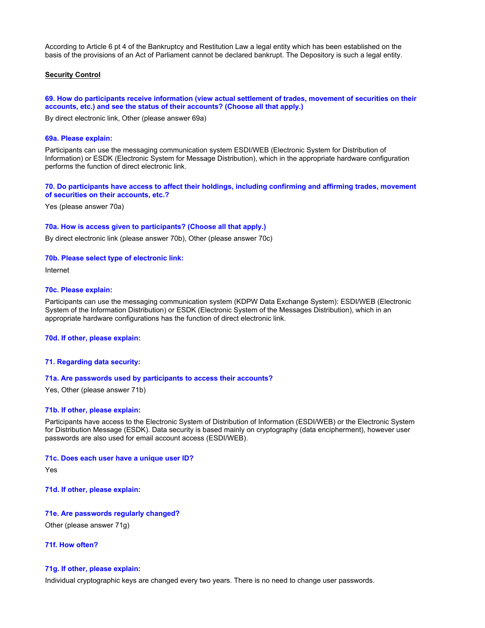According to Article 6 pt 4 of the Bankruptcy and Restitution Law a legal entity which has been established on the basis of the provisions of an Act of Parliament cannot be declared bankrupt. The Depository is such a legal entity.

## **Security Control**

## **69. How do participants receive information (view actual settlement of trades, movement of securities on their accounts, etc.) and see the status of their accounts? (Choose all that apply.)**

By direct electronic link, Other (please answer 69a)

#### **69a. Please explain:**

Participants can use the messaging communication system ESDI/WEB (Electronic System for Distribution of Information) or ESDK (Electronic System for Message Distribution), which in the appropriate hardware configuration performs the function of direct electronic link.

## **70. Do participants have access to affect their holdings, including confirming and affirming trades, movement of securities on their accounts, etc.?**

Yes (please answer 70a)

## **70a. How is access given to participants? (Choose all that apply.)**

By direct electronic link (please answer 70b), Other (please answer 70c)

#### **70b. Please select type of electronic link:**

Internet

### **70c. Please explain:**

Participants can use the messaging communication system (KDPW Data Exchange System): ESDI/WEB (Electronic System of the Information Distribution) or ESDK (Electronic System of the Messages Distribution), which in an appropriate hardware configurations has the function of direct electronic link.

#### **70d. If other, please explain:**

## **71. Regarding data security:**

#### **71a. Are passwords used by participants to access their accounts?**

Yes, Other (please answer 71b)

### **71b. If other, please explain:**

Participants have access to the Electronic System of Distribution of Information (ESDI/WEB) or the Electronic System for Distribution Message (ESDK). Data security is based mainly on cryptography (data encipherment), however user passwords are also used for email account access (ESDI/WEB).

#### **71c. Does each user have a unique user ID?**

Yes

**71d. If other, please explain:**

**71e. Are passwords regularly changed?** Other (please answer 71g)

**71f. How often?**

# **71g. If other, please explain:**

Individual cryptographic keys are changed every two years. There is no need to change user passwords.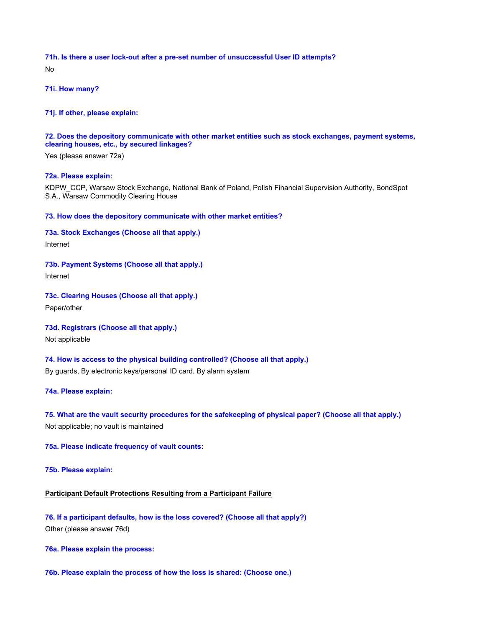**71h. Is there a user lock-out after a pre-set number of unsuccessful User ID attempts?** No

**71i. How many?**

**71j. If other, please explain:**

**72. Does the depository communicate with other market entities such as stock exchanges, payment systems, clearing houses, etc., by secured linkages?**

Yes (please answer 72a)

## **72a. Please explain:**

KDPW\_CCP, Warsaw Stock Exchange, National Bank of Poland, Polish Financial Supervision Authority, BondSpot S.A., Warsaw Commodity Clearing House

**73. How does the depository communicate with other market entities?**

**73a. Stock Exchanges (Choose all that apply.)** Internet

**73b. Payment Systems (Choose all that apply.)**

Internet

**73c. Clearing Houses (Choose all that apply.)**

Paper/other

**73d. Registrars (Choose all that apply.)**

Not applicable

**74. How is access to the physical building controlled? (Choose all that apply.)**

By guards, By electronic keys/personal ID card, By alarm system

**74a. Please explain:**

**75. What are the vault security procedures for the safekeeping of physical paper? (Choose all that apply.)** Not applicable; no vault is maintained

**75a. Please indicate frequency of vault counts:**

**75b. Please explain:**

# **Participant Default Protections Resulting from a Participant Failure**

**76. If a participant defaults, how is the loss covered? (Choose all that apply?)** Other (please answer 76d)

**76a. Please explain the process:**

**76b. Please explain the process of how the loss is shared: (Choose one.)**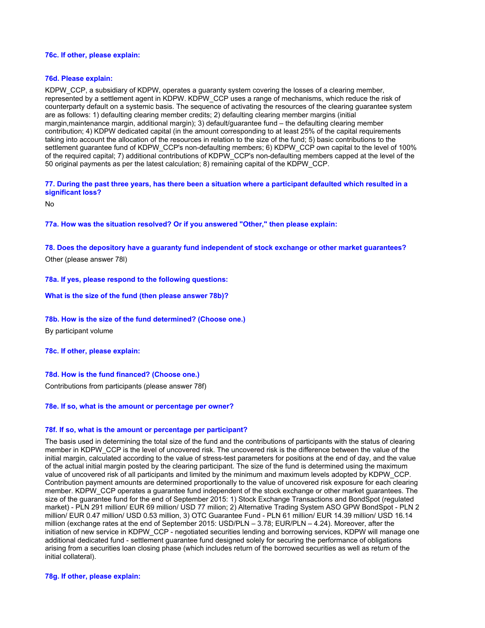## **76c. If other, please explain:**

## **76d. Please explain:**

KDPW, CCP, a subsidiary of KDPW, operates a guaranty system covering the losses of a clearing member, represented by a settlement agent in KDPW. KDPW\_CCP uses a range of mechanisms, which reduce the risk of counterparty default on a systemic basis. The sequence of activating the resources of the clearing guarantee system are as follows: 1) defaulting clearing member credits; 2) defaulting clearing member margins (initial margin,maintenance margin, additional margin); 3) default/guarantee fund – the defaulting clearing member contribution; 4) KDPW dedicated capital (in the amount corresponding to at least 25% of the capital requirements taking into account the allocation of the resources in relation to the size of the fund; 5) basic contributions to the settlement guarantee fund of KDPW\_CCP's non-defaulting members; 6) KDPW\_CCP own capital to the level of 100% of the required capital; 7) additional contributions of KDPW\_CCP's non-defaulting members capped at the level of the 50 original payments as per the latest calculation; 8) remaining capital of the KDPW\_CCP.

## **77. During the past three years, has there been a situation where a participant defaulted which resulted in a significant loss?**

No

**77a. How was the situation resolved? Or if you answered "Other," then please explain:**

**78. Does the depository have a guaranty fund independent of stock exchange or other market guarantees?** Other (please answer 78l)

### **78a. If yes, please respond to the following questions:**

#### **What is the size of the fund (then please answer 78b)?**

#### **78b. How is the size of the fund determined? (Choose one.)**

By participant volume

## **78c. If other, please explain:**

## **78d. How is the fund financed? (Choose one.)**

Contributions from participants (please answer 78f)

## **78e. If so, what is the amount or percentage per owner?**

#### **78f. If so, what is the amount or percentage per participant?**

The basis used in determining the total size of the fund and the contributions of participants with the status of clearing member in KDPW\_CCP is the level of uncovered risk. The uncovered risk is the difference between the value of the initial margin, calculated according to the value of stress-test parameters for positions at the end of day, and the value of the actual initial margin posted by the clearing participant. The size of the fund is determined using the maximum value of uncovered risk of all participants and limited by the minimum and maximum levels adopted by KDPW\_CCP. Contribution payment amounts are determined proportionally to the value of uncovered risk exposure for each clearing member. KDPW\_CCP operates a guarantee fund independent of the stock exchange or other market guarantees. The size of the guarantee fund for the end of September 2015: 1) Stock Exchange Transactions and BondSpot (regulated market) - PLN 291 million/ EUR 69 million/ USD 77 milion; 2) Alternative Trading System ASO GPW BondSpot - PLN 2 million/ EUR 0.47 million/ USD 0.53 million, 3) OTC Guarantee Fund - PLN 61 million/ EUR 14.39 million/ USD 16.14 million (exchange rates at the end of September 2015: USD/PLN – 3.78; EUR/PLN – 4.24). Moreover, after the initiation of new service in KDPW\_CCP - negotiated securities lending and borrowing services, KDPW will manage one additional dedicated fund - settlement guarantee fund designed solely for securing the performance of obligations arising from a securities loan closing phase (which includes return of the borrowed securities as well as return of the initial collateral).

### **78g. If other, please explain:**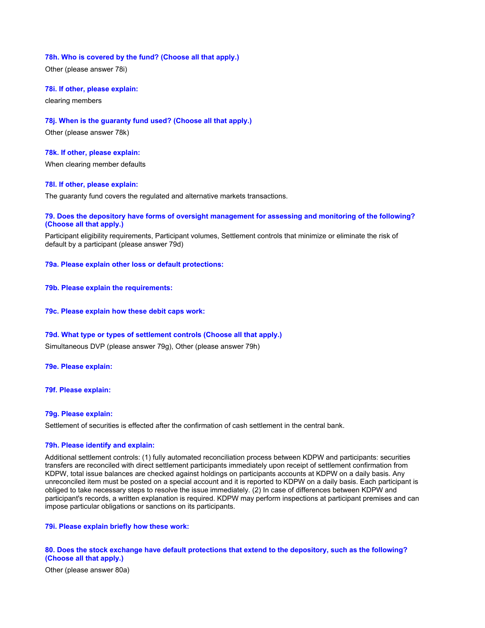## **78h. Who is covered by the fund? (Choose all that apply.)**

Other (please answer 78i)

### **78i. If other, please explain:**

clearing members

## **78j. When is the guaranty fund used? (Choose all that apply.)**

Other (please answer 78k)

## **78k. If other, please explain:**

When clearing member defaults

## **78l. If other, please explain:**

The guaranty fund covers the regulated and alternative markets transactions.

## **79. Does the depository have forms of oversight management for assessing and monitoring of the following? (Choose all that apply.)**

Participant eligibility requirements, Participant volumes, Settlement controls that minimize or eliminate the risk of default by a participant (please answer 79d)

#### **79a. Please explain other loss or default protections:**

- **79b. Please explain the requirements:**
- **79c. Please explain how these debit caps work:**

#### **79d. What type or types of settlement controls (Choose all that apply.)**

Simultaneous DVP (please answer 79g), Other (please answer 79h)

#### **79e. Please explain:**

### **79f. Please explain:**

## **79g. Please explain:**

Settlement of securities is effected after the confirmation of cash settlement in the central bank.

#### **79h. Please identify and explain:**

Additional settlement controls: (1) fully automated reconciliation process between KDPW and participants: securities transfers are reconciled with direct settlement participants immediately upon receipt of settlement confirmation from KDPW, total issue balances are checked against holdings on participants accounts at KDPW on a daily basis. Any unreconciled item must be posted on a special account and it is reported to KDPW on a daily basis. Each participant is obliged to take necessary steps to resolve the issue immediately. (2) In case of differences between KDPW and participant's records, a written explanation is required. KDPW may perform inspections at participant premises and can impose particular obligations or sanctions on its participants.

## **79i. Please explain briefly how these work:**

## **80. Does the stock exchange have default protections that extend to the depository, such as the following? (Choose all that apply.)**

Other (please answer 80a)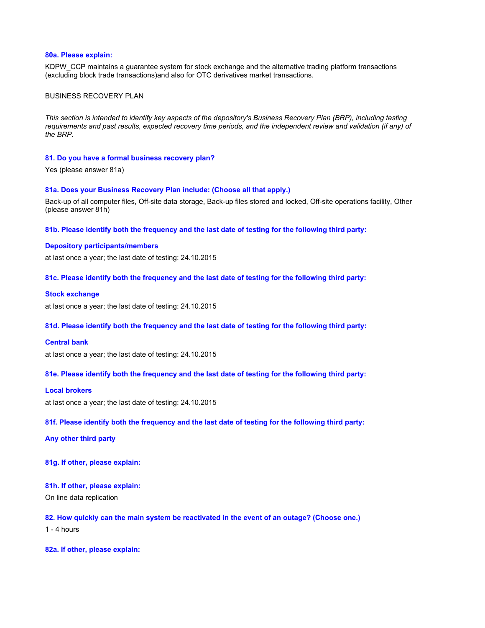## **80a. Please explain:**

KDPW\_CCP maintains a guarantee system for stock exchange and the alternative trading platform transactions (excluding block trade transactions)and also for OTC derivatives market transactions.

#### BUSINESS RECOVERY PLAN

*This section is intended to identify key aspects of the depository's Business Recovery Plan (BRP), including testing requirements and past results, expected recovery time periods, and the independent review and validation (if any) of the BRP.*

#### **81. Do you have a formal business recovery plan?**

Yes (please answer 81a)

#### **81a. Does your Business Recovery Plan include: (Choose all that apply.)**

Back-up of all computer files, Off-site data storage, Back-up files stored and locked, Off-site operations facility, Other (please answer 81h)

**81b. Please identify both the frequency and the last date of testing for the following third party:**

#### **Depository participants/members**

at last once a year; the last date of testing: 24.10.2015

**81c. Please identify both the frequency and the last date of testing for the following third party:**

#### **Stock exchange**

at last once a year; the last date of testing: 24.10.2015

## **81d. Please identify both the frequency and the last date of testing for the following third party:**

#### **Central bank**

at last once a year; the last date of testing: 24.10.2015

### **81e. Please identify both the frequency and the last date of testing for the following third party:**

### **Local brokers**

at last once a year; the last date of testing: 24.10.2015

#### **81f. Please identify both the frequency and the last date of testing for the following third party:**

**Any other third party**

**81g. If other, please explain:**

#### **81h. If other, please explain:**

On line data replication

**82. How quickly can the main system be reactivated in the event of an outage? (Choose one.)**

 $1 - 4$  hours

**82a. If other, please explain:**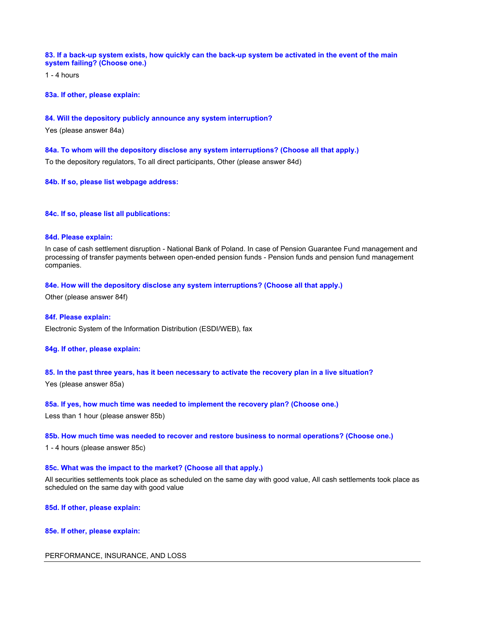## **83. If a back-up system exists, how quickly can the back-up system be activated in the event of the main system failing? (Choose one.)**

1 - 4 hours

**83a. If other, please explain:**

## **84. Will the depository publicly announce any system interruption?**

Yes (please answer 84a)

## **84a. To whom will the depository disclose any system interruptions? (Choose all that apply.)**

To the depository regulators, To all direct participants, Other (please answer 84d)

**84b. If so, please list webpage address:**

## **84c. If so, please list all publications:**

## **84d. Please explain:**

In case of cash settlement disruption - National Bank of Poland. In case of Pension Guarantee Fund management and processing of transfer payments between open-ended pension funds - Pension funds and pension fund management companies.

## **84e. How will the depository disclose any system interruptions? (Choose all that apply.)**

Other (please answer 84f)

### **84f. Please explain:**

Electronic System of the Information Distribution (ESDI/WEB), fax

## **84g. If other, please explain:**

## **85. In the past three years, has it been necessary to activate the recovery plan in a live situation?**

Yes (please answer 85a)

#### **85a. If yes, how much time was needed to implement the recovery plan? (Choose one.)**

Less than 1 hour (please answer 85b)

## **85b. How much time was needed to recover and restore business to normal operations? (Choose one.)**

1 - 4 hours (please answer 85c)

### **85c. What was the impact to the market? (Choose all that apply.)**

All securities settlements took place as scheduled on the same day with good value, All cash settlements took place as scheduled on the same day with good value

**85d. If other, please explain:**

### **85e. If other, please explain:**

## PERFORMANCE, INSURANCE, AND LOSS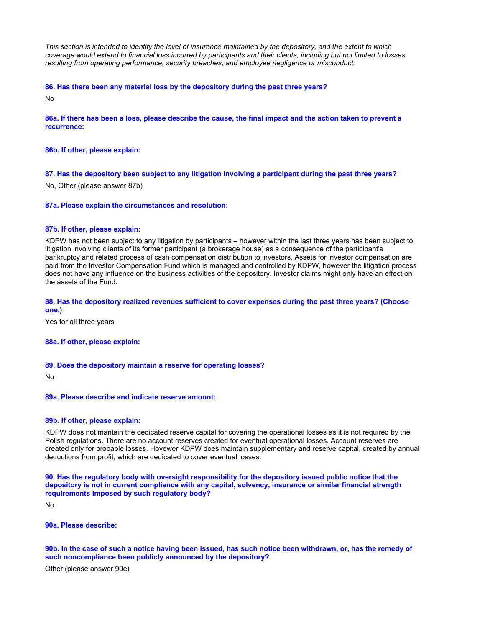*This section is intended to identify the level of insurance maintained by the depository, and the extent to which coverage would extend to financial loss incurred by participants and their clients, including but not limited to losses resulting from operating performance, security breaches, and employee negligence or misconduct.*

## **86. Has there been any material loss by the depository during the past three years?**

No

## **86a. If there has been a loss, please describe the cause, the final impact and the action taken to prevent a recurrence:**

**86b. If other, please explain:**

## **87. Has the depository been subject to any litigation involving a participant during the past three years?**

No, Other (please answer 87b)

#### **87a. Please explain the circumstances and resolution:**

## **87b. If other, please explain:**

KDPW has not been subject to any litigation by participants – however within the last three years has been subject to litigation involving clients of its former participant (a brokerage house) as a consequence of the participant's bankruptcy and related process of cash compensation distribution to investors. Assets for investor compensation are paid from the Investor Compensation Fund which is managed and controlled by KDPW, however the litigation process does not have any influence on the business activities of the depository. Investor claims might only have an effect on the assets of the Fund.

## **88. Has the depository realized revenues sufficient to cover expenses during the past three years? (Choose one.)**

Yes for all three years

### **88a. If other, please explain:**

#### **89. Does the depository maintain a reserve for operating losses?**

No

## **89a. Please describe and indicate reserve amount:**

#### **89b. If other, please explain:**

KDPW does not mantain the dedicated reserve capital for covering the operational losses as it is not required by the Polish regulations. There are no account reserves created for eventual operational losses. Account reserves are created only for probable losses. Hovewer KDPW does maintain supplementary and reserve capital, created by annual deductions from profit, which are dedicated to cover eventual losses.

**90. Has the regulatory body with oversight responsibility for the depository issued public notice that the depository is not in current compliance with any capital, solvency, insurance or similar financial strength requirements imposed by such regulatory body?**

No

#### **90a. Please describe:**

**90b. In the case of such a notice having been issued, has such notice been withdrawn, or, has the remedy of such noncompliance been publicly announced by the depository?**

Other (please answer 90e)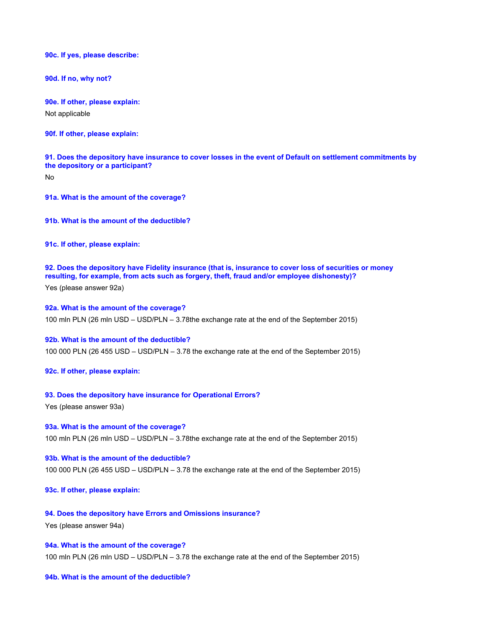**90c. If yes, please describe:**

**90d. If no, why not?**

**90e. If other, please explain:** Not applicable

**90f. If other, please explain:**

**91. Does the depository have insurance to cover losses in the event of Default on settlement commitments by the depository or a participant?**

No

**91a. What is the amount of the coverage?**

**91b. What is the amount of the deductible?**

**91c. If other, please explain:**

**92. Does the depository have Fidelity insurance (that is, insurance to cover loss of securities or money resulting, for example, from acts such as forgery, theft, fraud and/or employee dishonesty)?**

Yes (please answer 92a)

**92a. What is the amount of the coverage?** 100 mln PLN (26 mln USD – USD/PLN – 3.78the exchange rate at the end of the September 2015)

## **92b. What is the amount of the deductible?**

100 000 PLN (26 455 USD – USD/PLN – 3.78 the exchange rate at the end of the September 2015)

**92c. If other, please explain:**

#### **93. Does the depository have insurance for Operational Errors?**

Yes (please answer 93a)

**93a. What is the amount of the coverage?** 100 mln PLN (26 mln USD – USD/PLN – 3.78the exchange rate at the end of the September 2015)

**93b. What is the amount of the deductible?** 100 000 PLN (26 455 USD – USD/PLN – 3.78 the exchange rate at the end of the September 2015)

**93c. If other, please explain:**

**94. Does the depository have Errors and Omissions insurance?**

Yes (please answer 94a)

### **94a. What is the amount of the coverage?**

100 mln PLN (26 mln USD – USD/PLN – 3.78 the exchange rate at the end of the September 2015)

## **94b. What is the amount of the deductible?**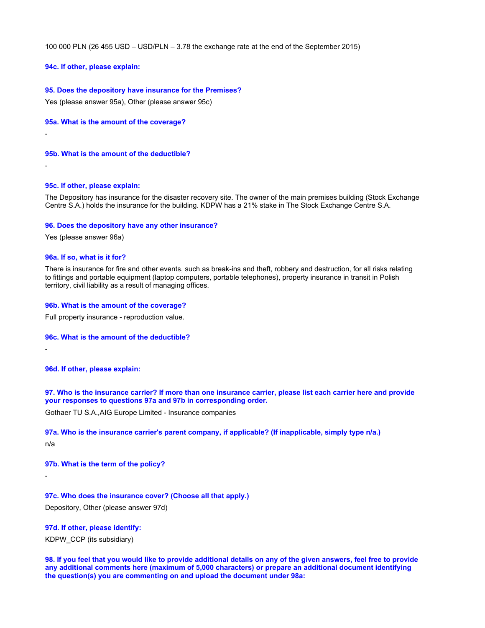100 000 PLN (26 455 USD – USD/PLN – 3.78 the exchange rate at the end of the September 2015)

## **94c. If other, please explain:**

## **95. Does the depository have insurance for the Premises?**

Yes (please answer 95a), Other (please answer 95c)

**95a. What is the amount of the coverage?**

-

**95b. What is the amount of the deductible?**

-

## **95c. If other, please explain:**

The Depository has insurance for the disaster recovery site. The owner of the main premises building (Stock Exchange Centre S.A.) holds the insurance for the building. KDPW has a 21% stake in The Stock Exchange Centre S.A.

### **96. Does the depository have any other insurance?**

Yes (please answer 96a)

## **96a. If so, what is it for?**

There is insurance for fire and other events, such as break-ins and theft, robbery and destruction, for all risks relating to fittings and portable equipment (laptop computers, portable telephones), property insurance in transit in Polish territory, civil liability as a result of managing offices.

### **96b. What is the amount of the coverage?**

Full property insurance - reproduction value.

#### **96c. What is the amount of the deductible?**

**96d. If other, please explain:**

**97. Who is the insurance carrier? If more than one insurance carrier, please list each carrier here and provide your responses to questions 97a and 97b in corresponding order.**

Gothaer TU S.A.,AIG Europe Limited - Insurance companies

### **97a. Who is the insurance carrier's parent company, if applicable? (If inapplicable, simply type n/a.)**

n/a

-

-

**97b. What is the term of the policy?**

# **97c. Who does the insurance cover? (Choose all that apply.)**

Depository, Other (please answer 97d)

# **97d. If other, please identify:**

KDPW\_CCP (its subsidiary)

**98. If you feel that you would like to provide additional details on any of the given answers, feel free to provide any additional comments here (maximum of 5,000 characters) or prepare an additional document identifying the question(s) you are commenting on and upload the document under 98a:**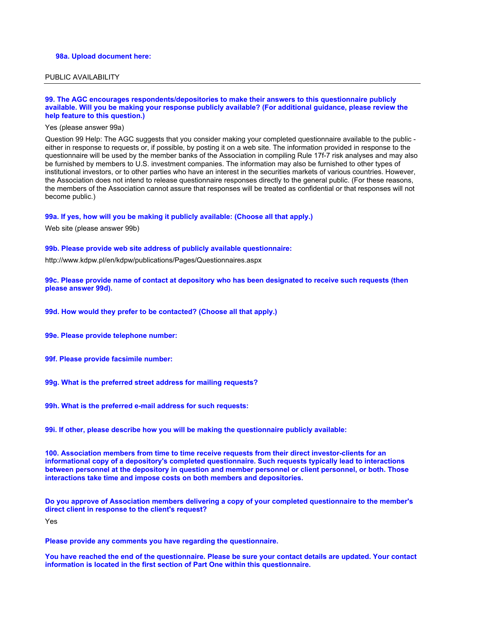### **98a. Upload document here:**

## PUBLIC AVAILABILITY

#### **99. The AGC encourages respondents/depositories to make their answers to this questionnaire publicly available. Will you be making your response publicly available? (For additional guidance, please review the help feature to this question.)**

#### Yes (please answer 99a)

Question 99 Help: The AGC suggests that you consider making your completed questionnaire available to the public either in response to requests or, if possible, by posting it on a web site. The information provided in response to the questionnaire will be used by the member banks of the Association in compiling Rule 17f-7 risk analyses and may also be furnished by members to U.S. investment companies. The information may also be furnished to other types of institutional investors, or to other parties who have an interest in the securities markets of various countries. However, the Association does not intend to release questionnaire responses directly to the general public. (For these reasons, the members of the Association cannot assure that responses will be treated as confidential or that responses will not become public.)

#### **99a. If yes, how will you be making it publicly available: (Choose all that apply.)**

Web site (please answer 99b)

#### **99b. Please provide web site address of publicly available questionnaire:**

http://www.kdpw.pl/en/kdpw/publications/Pages/Questionnaires.aspx

**99c. Please provide name of contact at depository who has been designated to receive such requests (then please answer 99d).**

**99d. How would they prefer to be contacted? (Choose all that apply.)**

**99e. Please provide telephone number:**

- **99f. Please provide facsimile number:**
- **99g. What is the preferred street address for mailing requests?**
- **99h. What is the preferred e-mail address for such requests:**

**99i. If other, please describe how you will be making the questionnaire publicly available:**

**100. Association members from time to time receive requests from their direct investor-clients for an informational copy of a depository's completed questionnaire. Such requests typically lead to interactions between personnel at the depository in question and member personnel or client personnel, or both. Those interactions take time and impose costs on both members and depositories.**

**Do you approve of Association members delivering a copy of your completed questionnaire to the member's direct client in response to the client's request?**

Yes

**Please provide any comments you have regarding the questionnaire.**

**You have reached the end of the questionnaire. Please be sure your contact details are updated. Your contact information is located in the first section of Part One within this questionnaire.**